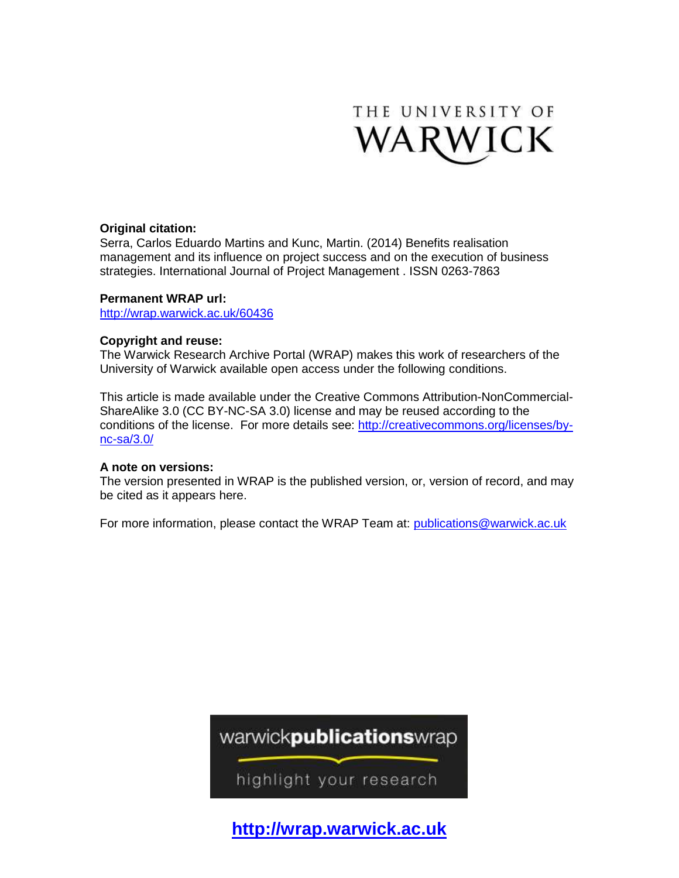

### **Original citation:**

Serra, Carlos Eduardo Martins and Kunc, Martin. (2014) Benefits realisation management and its influence on project success and on the execution of business strategies. International Journal of Project Management . ISSN 0263-7863

#### **Permanent WRAP url:**

<http://wrap.warwick.ac.uk/60436>

#### **Copyright and reuse:**

The Warwick Research Archive Portal (WRAP) makes this work of researchers of the University of Warwick available open access under the following conditions.

This article is made available under the Creative Commons Attribution-NonCommercial-ShareAlike 3.0 (CC BY-NC-SA 3.0) license and may be reused according to the conditions of the license. For more details see: [http://creativecommons.org/licenses/by](http://creativecommons.org/licenses/by-nc-sa/3.0/)[nc-sa/3.0/](http://creativecommons.org/licenses/by-nc-sa/3.0/)

#### **A note on versions:**

The version presented in WRAP is the published version, or, version of record, and may be cited as it appears here.

For more information, please contact the WRAP Team at: [publications@warwick.ac.uk](mailto:publications@warwick.ac.uk)



highlight your research

**[http://wrap.warwick.ac.uk](http://wrap.warwick.ac.uk/)**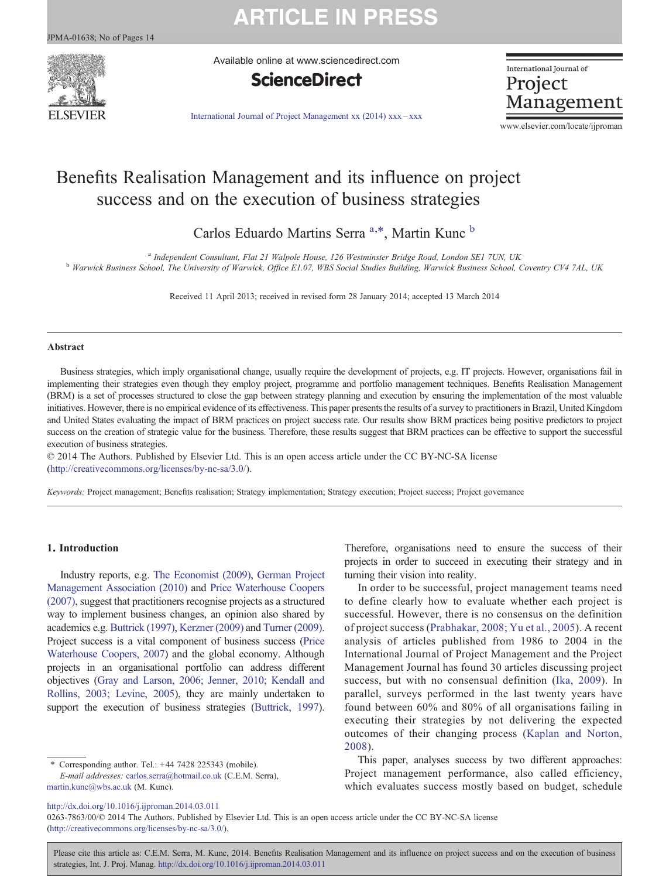

Available online at www.sciencedirect.com



International Journal of Project Management

[International Journal of Project Management xx \(2014\) xxx](http://dx.doi.org/10.1016/j.ijproman.2014.03.011)–xxx

www.elsevier.com/locate/ijproman

### Benefits Realisation Management and its influence on project success and on the execution of business strategies

Carlos Eduardo Martins Serra<sup>a,\*</sup>, Martin Kunc b

<sup>a</sup> Independent Consultant, Flat 21 Walpole House, 126 Westminster Bridge Road, London SE1 7UN, UK<br><sup>b</sup> Warwick Business School, The University of Warwick, Office E1.07, WBS Social Studies Building, Warwick Business School,

Received 11 April 2013; received in revised form 28 January 2014; accepted 13 March 2014

#### Abstract

Business strategies, which imply organisational change, usually require the development of projects, e.g. IT projects. However, organisations fail in implementing their strategies even though they employ project, programme and portfolio management techniques. Benefits Realisation Management (BRM) is a set of processes structured to close the gap between strategy planning and execution by ensuring the implementation of the most valuable initiatives. However, there is no empirical evidence of its effectiveness. This paper presents the results of a survey to practitioners in Brazil, United Kingdom and United States evaluating the impact of BRM practices on project success rate. Our results show BRM practices being positive predictors to project success on the creation of strategic value for the business. Therefore, these results suggest that BRM practices can be effective to support the successful execution of business strategies.

© 2014 The Authors. Published by Elsevier Ltd. This is an open access article under the CC BY-NC-SA license (http://creativecommons.org/licenses/by-nc-sa/3.0/).

Keywords: Project management; Benefits realisation; Strategy implementation; Strategy execution; Project success; Project governance

#### 1. Introduction

Industry reports, e.g. [The Economist \(2009\),](#page-14-0) [German Project](#page-13-0) [Management Association \(2010\)](#page-13-0) and [Price Waterhouse Coopers](#page-14-0) [\(2007\),](#page-14-0) suggest that practitioners recognise projects as a structured way to implement business changes, an opinion also shared by academics e.g. [Buttrick \(1997\),](#page-13-0) [Kerzner \(2009\)](#page-14-0) and [Turner \(2009\)](#page-14-0). Project success is a vital component of business success [\(Price](#page-14-0) [Waterhouse Coopers, 2007\)](#page-14-0) and the global economy. Although projects in an organisational portfolio can address different objectives [\(Gray and Larson, 2006; Jenner, 2010; Kendall and](#page-13-0) [Rollins, 2003; Levine, 2005\)](#page-13-0), they are mainly undertaken to support the execution of business strategies [\(Buttrick, 1997](#page-13-0)).

⁎ Corresponding author. Tel.: + 44 7428 225343 (mobile). E-mail addresses: [carlos.serra@hotmail.co.uk](mailto:carlos.serra@hotmail.co.uk) (C.E.M. Serra), [martin.kunc@wbs.ac.uk](mailto:martin.kunc@wbs.ac.uk) (M. Kunc).

Therefore, organisations need to ensure the success of their projects in order to succeed in executing their strategy and in turning their vision into reality.

In order to be successful, project management teams need to define clearly how to evaluate whether each project is successful. However, there is no consensus on the definition of project success ([Prabhakar, 2008; Yu et al., 2005](#page-14-0)). A recent analysis of articles published from 1986 to 2004 in the International Journal of Project Management and the Project Management Journal has found 30 articles discussing project success, but with no consensual definition ([Ika, 2009\)](#page-13-0). In parallel, surveys performed in the last twenty years have found between 60% and 80% of all organisations failing in executing their strategies by not delivering the expected outcomes of their changing process ([Kaplan and Norton,](#page-14-0) [2008](#page-14-0)).

This paper, analyses success by two different approaches: Project management performance, also called efficiency, which evaluates success mostly based on budget, schedule

<http://dx.doi.org/10.1016/j.ijproman.2014.03.011>

0263-7863/00/© 2014 The Authors. Published by Elsevier Ltd. This is an open access article under the CC BY-NC-SA license (http://creativecommons.org/licenses/by-nc-sa/3.0/).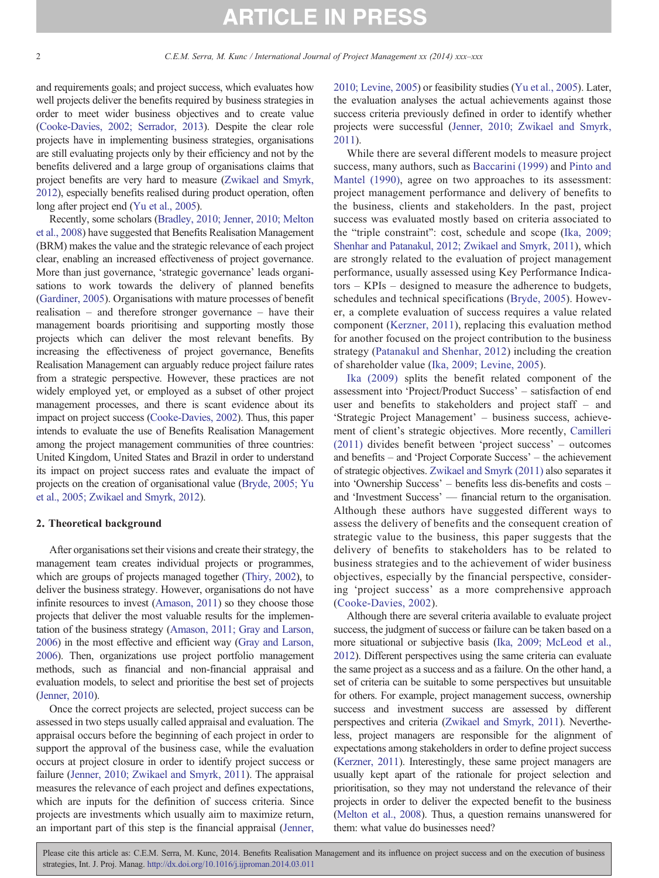and requirements goals; and project success, which evaluates how well projects deliver the benefits required by business strategies in order to meet wider business objectives and to create value ([Cooke-Davies, 2002; Serrador, 2013](#page-13-0)). Despite the clear role projects have in implementing business strategies, organisations are still evaluating projects only by their efficiency and not by the benefits delivered and a large group of organisations claims that project benefits are very hard to measure [\(Zwikael and Smyrk,](#page-14-0) [2012\)](#page-14-0), especially benefits realised during product operation, often long after project end [\(Yu et al., 2005\)](#page-14-0).

Recently, some scholars ([Bradley, 2010; Jenner, 2010; Melton](#page-13-0) [et al., 2008](#page-13-0)) have suggested that Benefits Realisation Management (BRM) makes the value and the strategic relevance of each project clear, enabling an increased effectiveness of project governance. More than just governance, 'strategic governance' leads organisations to work towards the delivery of planned benefits ([Gardiner, 2005\)](#page-13-0). Organisations with mature processes of benefit realisation – and therefore stronger governance – have their management boards prioritising and supporting mostly those projects which can deliver the most relevant benefits. By increasing the effectiveness of project governance, Benefits Realisation Management can arguably reduce project failure rates from a strategic perspective. However, these practices are not widely employed yet, or employed as a subset of other project management processes, and there is scant evidence about its impact on project success [\(Cooke-Davies, 2002\)](#page-13-0). Thus, this paper intends to evaluate the use of Benefits Realisation Management among the project management communities of three countries: United Kingdom, United States and Brazil in order to understand its impact on project success rates and evaluate the impact of projects on the creation of organisational value ([Bryde, 2005; Yu](#page-13-0) [et al., 2005; Zwikael and Smyrk, 2012\)](#page-13-0).

#### 2. Theoretical background

After organisations set their visions and create their strategy, the management team creates individual projects or programmes, which are groups of projects managed together [\(Thiry, 2002\)](#page-14-0), to deliver the business strategy. However, organisations do not have infinite resources to invest [\(Amason, 2011](#page-13-0)) so they choose those projects that deliver the most valuable results for the implementation of the business strategy ([Amason, 2011; Gray and Larson,](#page-13-0) [2006\)](#page-13-0) in the most effective and efficient way [\(Gray and Larson,](#page-13-0) [2006\)](#page-13-0). Then, organizations use project portfolio management methods, such as financial and non-financial appraisal and evaluation models, to select and prioritise the best set of projects ([Jenner, 2010\)](#page-13-0).

Once the correct projects are selected, project success can be assessed in two steps usually called appraisal and evaluation. The appraisal occurs before the beginning of each project in order to support the approval of the business case, while the evaluation occurs at project closure in order to identify project success or failure ([Jenner, 2010; Zwikael and Smyrk, 2011](#page-13-0)). The appraisal measures the relevance of each project and defines expectations, which are inputs for the definition of success criteria. Since projects are investments which usually aim to maximize return, an important part of this step is the financial appraisal [\(Jenner,](#page-13-0)

[2010; Levine, 2005](#page-13-0)) or feasibility studies ([Yu et al., 2005](#page-14-0)). Later, the evaluation analyses the actual achievements against those success criteria previously defined in order to identify whether projects were successful ([Jenner, 2010; Zwikael and Smyrk,](#page-13-0) [2011](#page-13-0)).

While there are several different models to measure project success, many authors, such as [Baccarini \(1999\)](#page-13-0) and [Pinto and](#page-14-0) [Mantel \(1990\),](#page-14-0) agree on two approaches to its assessment: project management performance and delivery of benefits to the business, clients and stakeholders. In the past, project success was evaluated mostly based on criteria associated to the "triple constraint": cost, schedule and scope [\(Ika, 2009;](#page-13-0) [Shenhar and Patanakul, 2012; Zwikael and Smyrk, 2011](#page-13-0)), which are strongly related to the evaluation of project management performance, usually assessed using Key Performance Indicators – KPIs – designed to measure the adherence to budgets, schedules and technical specifications [\(Bryde, 2005\)](#page-13-0). However, a complete evaluation of success requires a value related component ([Kerzner, 2011\)](#page-14-0), replacing this evaluation method for another focused on the project contribution to the business strategy ([Patanakul and Shenhar, 2012](#page-14-0)) including the creation of shareholder value [\(Ika, 2009; Levine, 2005\)](#page-13-0).

[Ika \(2009\)](#page-13-0) splits the benefit related component of the assessment into 'Project/Product Success' – satisfaction of end user and benefits to stakeholders and project staff – and 'Strategic Project Management' – business success, achievement of client's strategic objectives. More recently, [Camilleri](#page-13-0) [\(2011\)](#page-13-0) divides benefit between 'project success' – outcomes and benefits – and 'Project Corporate Success' – the achievement of strategic objectives. [Zwikael and Smyrk \(2011\)](#page-14-0) also separates it into 'Ownership Success' – benefits less dis-benefits and costs – and 'Investment Success' — financial return to the organisation. Although these authors have suggested different ways to assess the delivery of benefits and the consequent creation of strategic value to the business, this paper suggests that the delivery of benefits to stakeholders has to be related to business strategies and to the achievement of wider business objectives, especially by the financial perspective, considering 'project success' as a more comprehensive approach ([Cooke-Davies, 2002\)](#page-13-0).

Although there are several criteria available to evaluate project success, the judgment of success or failure can be taken based on a more situational or subjective basis [\(Ika, 2009; McLeod et al.,](#page-13-0) [2012\)](#page-13-0). Different perspectives using the same criteria can evaluate the same project as a success and as a failure. On the other hand, a set of criteria can be suitable to some perspectives but unsuitable for others. For example, project management success, ownership success and investment success are assessed by different perspectives and criteria ([Zwikael and Smyrk, 2011\)](#page-14-0). Nevertheless, project managers are responsible for the alignment of expectations among stakeholders in order to define project success ([Kerzner, 2011\)](#page-14-0). Interestingly, these same project managers are usually kept apart of the rationale for project selection and prioritisation, so they may not understand the relevance of their projects in order to deliver the expected benefit to the business ([Melton et al., 2008\)](#page-14-0). Thus, a question remains unanswered for them: what value do businesses need?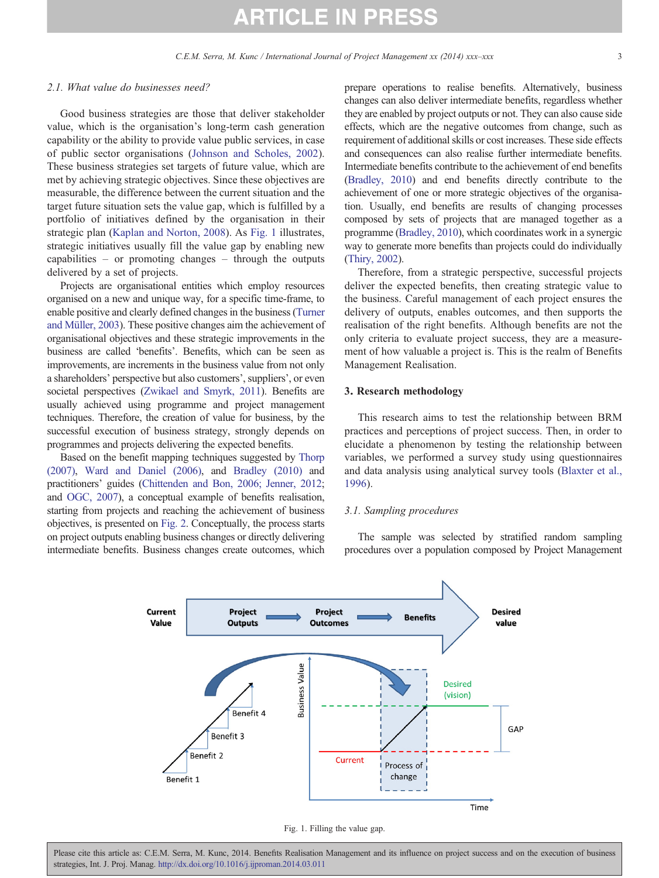#### 2.1. What value do businesses need?

Good business strategies are those that deliver stakeholder value, which is the organisation's long-term cash generation capability or the ability to provide value public services, in case of public sector organisations ([Johnson and Scholes, 2002\)](#page-14-0). These business strategies set targets of future value, which are met by achieving strategic objectives. Since these objectives are measurable, the difference between the current situation and the target future situation sets the value gap, which is fulfilled by a portfolio of initiatives defined by the organisation in their strategic plan ([Kaplan and Norton, 2008\)](#page-14-0). As Fig. 1 illustrates, strategic initiatives usually fill the value gap by enabling new capabilities – or promoting changes – through the outputs delivered by a set of projects.

Projects are organisational entities which employ resources organised on a new and unique way, for a specific time-frame, to enable positive and clearly defined changes in the business ([Turner](#page-14-0) [and Müller, 2003\)](#page-14-0). These positive changes aim the achievement of organisational objectives and these strategic improvements in the business are called 'benefits'. Benefits, which can be seen as improvements, are increments in the business value from not only a shareholders' perspective but also customers', suppliers', or even societal perspectives [\(Zwikael and Smyrk, 2011\)](#page-14-0). Benefits are usually achieved using programme and project management techniques. Therefore, the creation of value for business, by the successful execution of business strategy, strongly depends on programmes and projects delivering the expected benefits.

Based on the benefit mapping techniques suggested by [Thorp](#page-14-0) [\(2007\),](#page-14-0) [Ward and Daniel \(2006\),](#page-14-0) and [Bradley \(2010\)](#page-13-0) and practitioners' guides [\(Chittenden and Bon, 2006; Jenner, 2012;](#page-13-0) and [OGC, 2007\)](#page-14-0), a conceptual example of benefits realisation, starting from projects and reaching the achievement of business objectives, is presented on [Fig. 2](#page-4-0). Conceptually, the process starts on project outputs enabling business changes or directly delivering intermediate benefits. Business changes create outcomes, which prepare operations to realise benefits. Alternatively, business changes can also deliver intermediate benefits, regardless whether they are enabled by project outputs or not. They can also cause side effects, which are the negative outcomes from change, such as requirement of additional skills or cost increases. These side effects and consequences can also realise further intermediate benefits. Intermediate benefits contribute to the achievement of end benefits ([Bradley, 2010](#page-13-0)) and end benefits directly contribute to the achievement of one or more strategic objectives of the organisation. Usually, end benefits are results of changing processes composed by sets of projects that are managed together as a programme ([Bradley, 2010](#page-13-0)), which coordinates work in a synergic way to generate more benefits than projects could do individually ([Thiry, 2002\)](#page-14-0).

Therefore, from a strategic perspective, successful projects deliver the expected benefits, then creating strategic value to the business. Careful management of each project ensures the delivery of outputs, enables outcomes, and then supports the realisation of the right benefits. Although benefits are not the only criteria to evaluate project success, they are a measurement of how valuable a project is. This is the realm of Benefits Management Realisation.

#### 3. Research methodology

This research aims to test the relationship between BRM practices and perceptions of project success. Then, in order to elucidate a phenomenon by testing the relationship between variables, we performed a survey study using questionnaires and data analysis using analytical survey tools [\(Blaxter et al.,](#page-13-0) [1996](#page-13-0)).

#### 3.1. Sampling procedures

The sample was selected by stratified random sampling procedures over a population composed by Project Management



Fig. 1. Filling the value gap.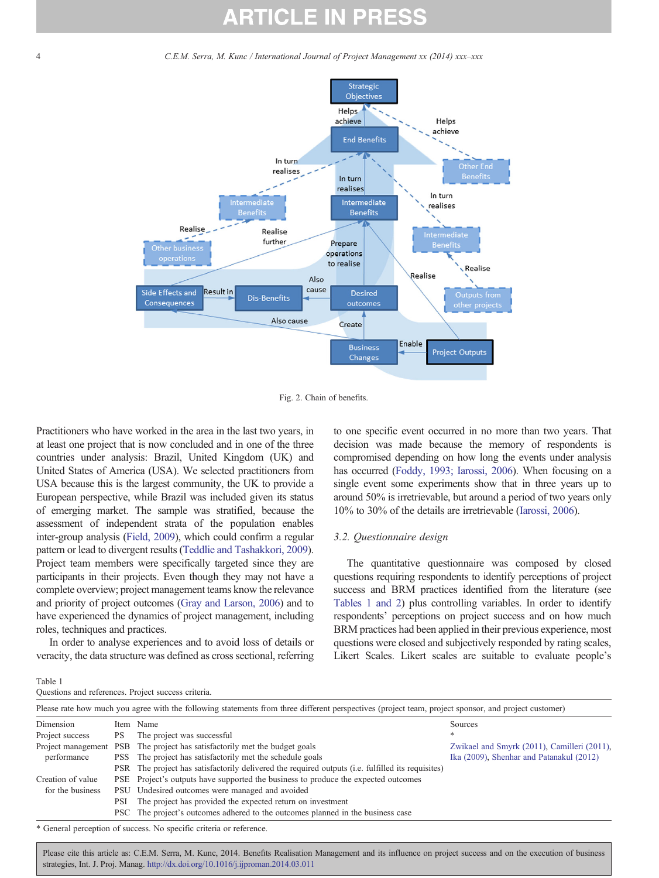<span id="page-4-0"></span>4 C.E.M. Serra, M. Kunc / International Journal of Project Management xx (2014) xxx–xxx



Fig. 2. Chain of benefits.

Practitioners who have worked in the area in the last two years, in at least one project that is now concluded and in one of the three countries under analysis: Brazil, United Kingdom (UK) and United States of America (USA). We selected practitioners from USA because this is the largest community, the UK to provide a European perspective, while Brazil was included given its status of emerging market. The sample was stratified, because the assessment of independent strata of the population enables inter-group analysis [\(Field, 2009](#page-13-0)), which could confirm a regular pattern or lead to divergent results [\(Teddlie and Tashakkori, 2009](#page-14-0)). Project team members were specifically targeted since they are participants in their projects. Even though they may not have a complete overview; project management teams know the relevance and priority of project outcomes [\(Gray and Larson, 2006](#page-13-0)) and to have experienced the dynamics of project management, including roles, techniques and practices.

In order to analyse experiences and to avoid loss of details or veracity, the data structure was defined as cross sectional, referring to one specific event occurred in no more than two years. That decision was made because the memory of respondents is compromised depending on how long the events under analysis has occurred ([Foddy, 1993; Iarossi, 2006](#page-13-0)). When focusing on a single event some experiments show that in three years up to around 50% is irretrievable, but around a period of two years only 10% to 30% of the details are irretrievable ([Iarossi, 2006\)](#page-13-0).

#### 3.2. Questionnaire design

The quantitative questionnaire was composed by closed questions requiring respondents to identify perceptions of project success and BRM practices identified from the literature (see Tables 1 and 2) plus controlling variables. In order to identify respondents' perceptions on project success and on how much BRM practices had been applied in their previous experience, most questions were closed and subjectively responded by rating scales, Likert Scales. Likert scales are suitable to evaluate people's

| v.<br>$\sim$<br>٧ |
|-------------------|
|-------------------|

|                   | Please rate how much you agree with the following statements from three different perspectives (project team, project sponsor, and project customer) |                                                                                                   |                                             |  |  |  |  |  |
|-------------------|------------------------------------------------------------------------------------------------------------------------------------------------------|---------------------------------------------------------------------------------------------------|---------------------------------------------|--|--|--|--|--|
| Dimension         |                                                                                                                                                      | Item Name                                                                                         | Sources                                     |  |  |  |  |  |
| Project success   | <b>PS</b>                                                                                                                                            | The project was successful                                                                        | $\ast$                                      |  |  |  |  |  |
|                   |                                                                                                                                                      | Project management PSB The project has satisfactorily met the budget goals                        | Zwikael and Smyrk (2011), Camilleri (2011), |  |  |  |  |  |
| performance       |                                                                                                                                                      | PSS The project has satisfactorily met the schedule goals                                         | Ika (2009), Shenhar and Patanakul (2012)    |  |  |  |  |  |
|                   |                                                                                                                                                      | PSR The project has satisfactorily delivered the required outputs (i.e. fulfilled its requisites) |                                             |  |  |  |  |  |
| Creation of value |                                                                                                                                                      | PSE Project's outputs have supported the business to produce the expected outcomes                |                                             |  |  |  |  |  |
| for the business  |                                                                                                                                                      | PSU Undesired outcomes were managed and avoided                                                   |                                             |  |  |  |  |  |
|                   | PSI                                                                                                                                                  | The project has provided the expected return on investment                                        |                                             |  |  |  |  |  |
|                   |                                                                                                                                                      | PSC The project's outcomes adhered to the outcomes planned in the business case                   |                                             |  |  |  |  |  |

\* General perception of success. No specific criteria or reference.

Questions and references. Project success criteria.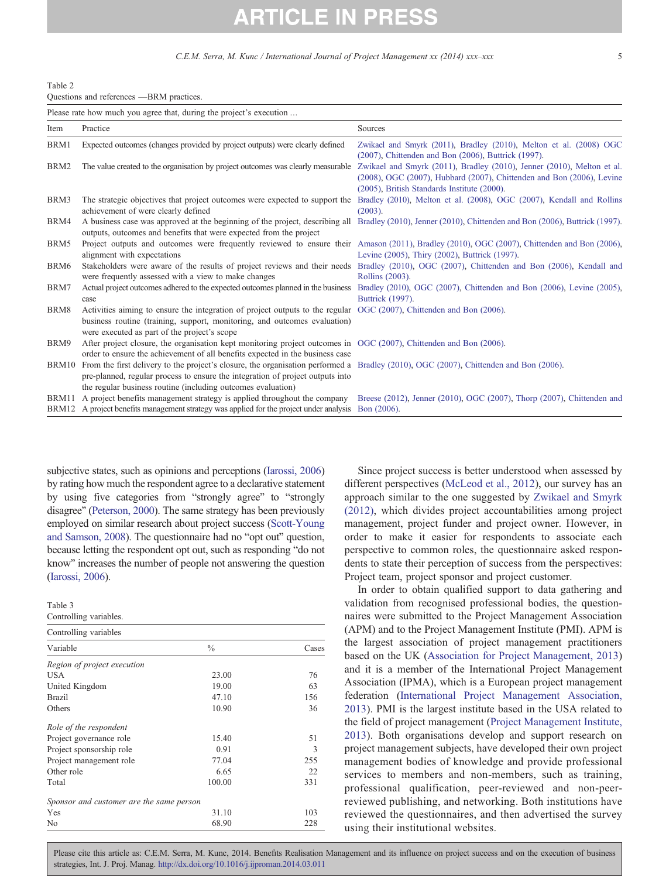C.E.M. Serra, M. Kunc / International Journal of Project Management xx (2014) xxx–xxx 5

|                  | Ouestions and references — BRM practices.                                                                                                                                                                                                                                               |                                                                                                                           |
|------------------|-----------------------------------------------------------------------------------------------------------------------------------------------------------------------------------------------------------------------------------------------------------------------------------------|---------------------------------------------------------------------------------------------------------------------------|
|                  | Please rate how much you agree that, during the project's execution                                                                                                                                                                                                                     |                                                                                                                           |
| Item             | Practice                                                                                                                                                                                                                                                                                | Sources                                                                                                                   |
| BRM1             | Expected outcomes (changes provided by project outputs) were clearly defined                                                                                                                                                                                                            | Zwikael and Smyrk (2011), Bradley (2010), Melton et al. (2008) OGC<br>(2007), Chittenden and Bon (2006), Buttrick (1997). |
| BRM2             | The value created to the organisation by project outcomes was clearly measurable Zwikael and Smyrk (2011), Bradley (2010), Jenner (2010), Melton et al.                                                                                                                                 | (2008), OGC (2007), Hubbard (2007), Chittenden and Bon (2006), Levine<br>(2005), British Standards Institute (2000).      |
| BRM3             | The strategic objectives that project outcomes were expected to support the Bradley (2010), Melton et al. (2008), OGC (2007), Kendall and Rollins<br>achievement of were clearly defined                                                                                                | (2003).                                                                                                                   |
| BRM4             | A business case was approved at the beginning of the project, describing all Bradley (2010), Jenner (2010), Chittenden and Bon (2006), Buttrick (1997).<br>outputs, outcomes and benefits that were expected from the project                                                           |                                                                                                                           |
| BRM5             | Project outputs and outcomes were frequently reviewed to ensure their Amason (2011), Bradley (2010), OGC (2007), Chittenden and Bon (2006),<br>alignment with expectations                                                                                                              | Levine (2005), Thiry (2002), Buttrick (1997).                                                                             |
| BRM <sub>6</sub> | Stakeholders were aware of the results of project reviews and their needs Bradley (2010), OGC (2007), Chittenden and Bon (2006), Kendall and<br>were frequently assessed with a view to make changes                                                                                    | Rollins (2003).                                                                                                           |
| BRM7             | Actual project outcomes adhered to the expected outcomes planned in the business Bradley (2010), OGC (2007), Chittenden and Bon (2006), Levine (2005),<br>case                                                                                                                          | Buttrick (1997).                                                                                                          |
| BRM8             | Activities aiming to ensure the integration of project outputs to the regular OGC (2007), Chittenden and Bon (2006).<br>business routine (training, support, monitoring, and outcomes evaluation)<br>were executed as part of the project's scope                                       |                                                                                                                           |
| BRM9             | After project closure, the organisation kept monitoring project outcomes in OGC (2007), Chittenden and Bon (2006).<br>order to ensure the achievement of all benefits expected in the business case                                                                                     |                                                                                                                           |
| BRM10            | From the first delivery to the project's closure, the organisation performed a Bradley (2010), OGC (2007), Chittenden and Bon (2006).<br>pre-planned, regular process to ensure the integration of project outputs into<br>the regular business routine (including outcomes evaluation) |                                                                                                                           |
| BRM11            | A project benefits management strategy is applied throughout the company Breese (2012), Jenner (2010), OGC (2007), Thorp (2007), Chittenden and<br>BRM12 A project benefits management strategy was applied for the project under analysis Bon (2006).                                  |                                                                                                                           |

subjective states, such as opinions and perceptions [\(Iarossi, 2006](#page-13-0)) by rating how much the respondent agree to a declarative statement by using five categories from "strongly agree" to "strongly disagree" [\(Peterson, 2000\)](#page-14-0). The same strategy has been previously employed on similar research about project success ([Scott-Young](#page-14-0) [and Samson, 2008](#page-14-0)). The questionnaire had no "opt out" question, because letting the respondent opt out, such as responding "do not know" increases the number of people not answering the question ([Iarossi, 2006\)](#page-13-0).

#### Table 3

<span id="page-5-0"></span>Table 2

Controlling variables.

| Controlling variables                    |               |               |
|------------------------------------------|---------------|---------------|
| Variable                                 | $\frac{0}{0}$ | Cases         |
| Region of project execution              |               |               |
| USA                                      | 23.00         | 76            |
| United Kingdom                           | 19.00         | 63            |
| <b>Brazil</b>                            | 47.10         | 156           |
| Others                                   | 10.90         | 36            |
| Role of the respondent                   |               |               |
| Project governance role                  | 15.40         | 51            |
| Project sponsorship role                 | 0.91          | $\mathcal{R}$ |
| Project management role                  | 77.04         | 255           |
| Other role                               | 6.65          | 22            |
| Total                                    | 100.00        | 331           |
| Sponsor and customer are the same person |               |               |
| Yes                                      | 31.10         | 103           |
| No                                       | 68.90         | 228           |

Since project success is better understood when assessed by different perspectives ([McLeod et al., 2012\)](#page-14-0), our survey has an approach similar to the one suggested by [Zwikael and Smyrk](#page-14-0) [\(2012\),](#page-14-0) which divides project accountabilities among project management, project funder and project owner. However, in order to make it easier for respondents to associate each perspective to common roles, the questionnaire asked respondents to state their perception of success from the perspectives: Project team, project sponsor and project customer.

In order to obtain qualified support to data gathering and validation from recognised professional bodies, the questionnaires were submitted to the Project Management Association (APM) and to the Project Management Institute (PMI). APM is the largest association of project management practitioners based on the UK [\(Association for Project Management, 2013](#page-13-0)) and it is a member of the International Project Management Association (IPMA), which is a European project management federation ([International Project Management Association,](#page-13-0) [2013](#page-13-0)). PMI is the largest institute based in the USA related to the field of project management [\(Project Management Institute,](#page-14-0) [2013](#page-14-0)). Both organisations develop and support research on project management subjects, have developed their own project management bodies of knowledge and provide professional services to members and non-members, such as training, professional qualification, peer-reviewed and non-peerreviewed publishing, and networking. Both institutions have reviewed the questionnaires, and then advertised the survey using their institutional websites.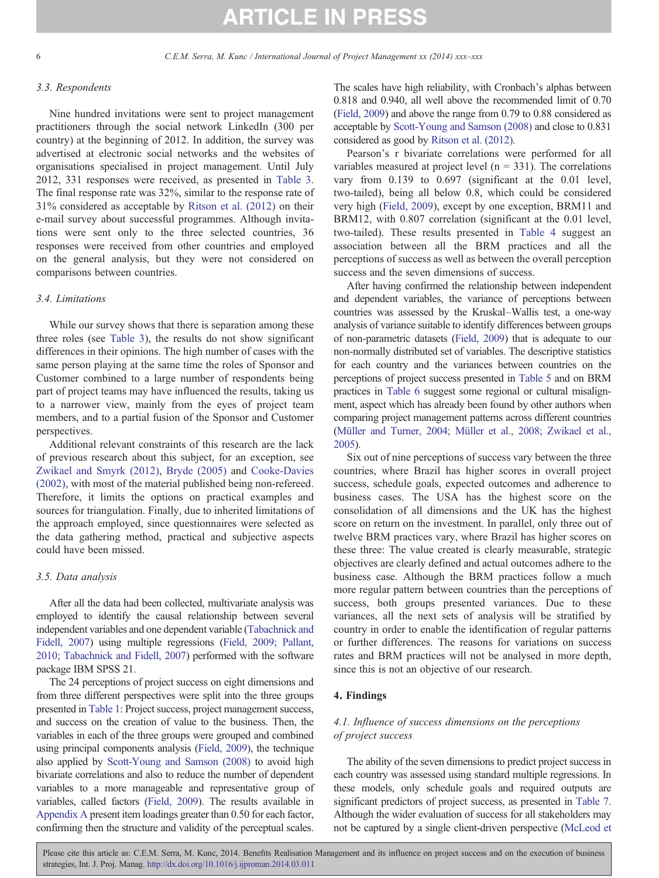#### 3.3. Respondents

Nine hundred invitations were sent to project management practitioners through the social network LinkedIn (300 per country) at the beginning of 2012. In addition, the survey was advertised at electronic social networks and the websites of organisations specialised in project management. Until July 2012, 331 responses were received, as presented in [Table 3](#page-5-0). The final response rate was 32%, similar to the response rate of 31% considered as acceptable by [Ritson et al. \(2012\)](#page-14-0) on their e-mail survey about successful programmes. Although invitations were sent only to the three selected countries, 36 responses were received from other countries and employed on the general analysis, but they were not considered on comparisons between countries.

#### 3.4. Limitations

While our survey shows that there is separation among these three roles (see [Table 3\)](#page-5-0), the results do not show significant differences in their opinions. The high number of cases with the same person playing at the same time the roles of Sponsor and Customer combined to a large number of respondents being part of project teams may have influenced the results, taking us to a narrower view, mainly from the eyes of project team members, and to a partial fusion of the Sponsor and Customer perspectives.

Additional relevant constraints of this research are the lack of previous research about this subject, for an exception, see [Zwikael and Smyrk \(2012\),](#page-14-0) [Bryde \(2005\)](#page-13-0) and [Cooke-Davies](#page-13-0) [\(2002\)](#page-13-0), with most of the material published being non-refereed. Therefore, it limits the options on practical examples and sources for triangulation. Finally, due to inherited limitations of the approach employed, since questionnaires were selected as the data gathering method, practical and subjective aspects could have been missed.

#### 3.5. Data analysis

After all the data had been collected, multivariate analysis was employed to identify the causal relationship between several independent variables and one dependent variable ([Tabachnick and](#page-14-0) [Fidell, 2007](#page-14-0)) using multiple regressions ([Field, 2009; Pallant,](#page-13-0) [2010; Tabachnick and Fidell, 2007](#page-13-0)) performed with the software package IBM SPSS 21.

The 24 perceptions of project success on eight dimensions and from three different perspectives were split into the three groups presented in [Table 1:](#page-4-0) Project success, project management success, and success on the creation of value to the business. Then, the variables in each of the three groups were grouped and combined using principal components analysis [\(Field, 2009](#page-13-0)), the technique also applied by [Scott-Young and Samson \(2008\)](#page-14-0) to avoid high bivariate correlations and also to reduce the number of dependent variables to a more manageable and representative group of variables, called factors ([Field, 2009](#page-13-0)). The results available in [Appendix A](#page-12-0) present item loadings greater than 0.50 for each factor, confirming then the structure and validity of the perceptual scales.

The scales have high reliability, with Cronbach's alphas between 0.818 and 0.940, all well above the recommended limit of 0.70 ([Field, 2009\)](#page-13-0) and above the range from 0.79 to 0.88 considered as acceptable by [Scott-Young and Samson \(2008\)](#page-14-0) and close to 0.831 considered as good by [Ritson et al. \(2012\)](#page-14-0).

Pearson's r bivariate correlations were performed for all variables measured at project level ( $n = 331$ ). The correlations vary from 0.139 to 0.697 (significant at the 0.01 level, two-tailed), being all below 0.8, which could be considered very high [\(Field, 2009\)](#page-13-0), except by one exception, BRM11 and BRM12, with 0.807 correlation (significant at the 0.01 level, two-tailed). These results presented in [Table 4](#page-7-0) suggest an association between all the BRM practices and all the perceptions of success as well as between the overall perception success and the seven dimensions of success.

After having confirmed the relationship between independent and dependent variables, the variance of perceptions between countries was assessed by the Kruskal–Wallis test, a one-way analysis of variance suitable to identify differences between groups of non-parametric datasets [\(Field, 2009](#page-13-0)) that is adequate to our non-normally distributed set of variables. The descriptive statistics for each country and the variances between countries on the perceptions of project success presented in [Table 5](#page-8-0) and on BRM practices in [Table 6](#page-8-0) suggest some regional or cultural misalignment, aspect which has already been found by other authors when comparing project management patterns across different countries ([Müller and Turner, 2004; Müller et al., 2008; Zwikael et al.,](#page-14-0) [2005\)](#page-14-0).

Six out of nine perceptions of success vary between the three countries, where Brazil has higher scores in overall project success, schedule goals, expected outcomes and adherence to business cases. The USA has the highest score on the consolidation of all dimensions and the UK has the highest score on return on the investment. In parallel, only three out of twelve BRM practices vary, where Brazil has higher scores on these three: The value created is clearly measurable, strategic objectives are clearly defined and actual outcomes adhere to the business case. Although the BRM practices follow a much more regular pattern between countries than the perceptions of success, both groups presented variances. Due to these variances, all the next sets of analysis will be stratified by country in order to enable the identification of regular patterns or further differences. The reasons for variations on success rates and BRM practices will not be analysed in more depth, since this is not an objective of our research.

#### 4. Findings

#### 4.1. Influence of success dimensions on the perceptions of project success

The ability of the seven dimensions to predict project success in each country was assessed using standard multiple regressions. In these models, only schedule goals and required outputs are significant predictors of project success, as presented in [Table 7](#page-9-0). Although the wider evaluation of success for all stakeholders may not be captured by a single client-driven perspective [\(McLeod et](#page-14-0)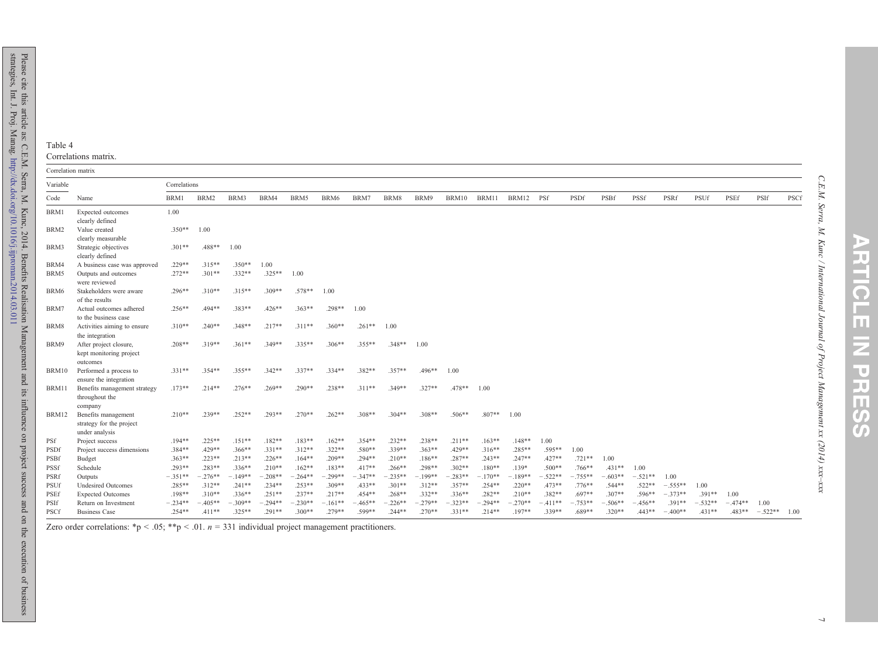#### <span id="page-7-0"></span>Table 4

#### Correlations matrix.

| Variable    |                                                                              | Correlations |           |           |           |            |           |           |           |           |            |           |           |           |           |            |           |           |           |           |          |      |
|-------------|------------------------------------------------------------------------------|--------------|-----------|-----------|-----------|------------|-----------|-----------|-----------|-----------|------------|-----------|-----------|-----------|-----------|------------|-----------|-----------|-----------|-----------|----------|------|
|             |                                                                              |              |           |           |           |            |           |           |           |           |            |           |           |           |           |            |           |           |           |           |          |      |
| Code        | Name                                                                         | BRM1         | BRM2      | BRM3      | BRM4      | BRM5       | BRM6      | BRM7      | BRM8      | BRM9      | BRM10      | BRM11     | BRM12 PSf |           | PSDf      | PSBf       | PSSf      | PSRf      | PSUf      | PSEf      | PSIf     | PSCf |
| BRM1        | Expected outcomes<br>clearly defined                                         | 1.00         |           |           |           |            |           |           |           |           |            |           |           |           |           |            |           |           |           |           |          |      |
| BRM2        | Value created<br>clearly measurable                                          | $.350**$     | 1.00      |           |           |            |           |           |           |           |            |           |           |           |           |            |           |           |           |           |          |      |
| BRM3        | Strategic objectives<br>clearly defined                                      | $.301**$     | .488**    | 1.00      |           |            |           |           |           |           |            |           |           |           |           |            |           |           |           |           |          |      |
| BRM4        | A business case was approved                                                 | $.229**$     | $.315**$  | $.350**$  | 1.00      |            |           |           |           |           |            |           |           |           |           |            |           |           |           |           |          |      |
| BRM5        | Outputs and outcomes<br>were reviewed                                        | $.272**$     | $.301**$  | $.332**$  | $.325**$  | 1.00       |           |           |           |           |            |           |           |           |           |            |           |           |           |           |          |      |
| BRM6        | Stakeholders were aware<br>of the results                                    | $.296**$     | $.310**$  | $.315**$  | $.309**$  | $.578**$   | 1.00      |           |           |           |            |           |           |           |           |            |           |           |           |           |          |      |
| BRM7        | Actual outcomes adhered<br>to the business case                              | $.256**$     | .494**    | $.383**$  | $.426**$  | $.363**$   | .298**    | 1.00      |           |           |            |           |           |           |           |            |           |           |           |           |          |      |
| BRM8        | Activities aiming to ensure<br>the integration                               | $.310**$     | $.240**$  | $.348**$  | $.217**$  | $.311**$   | $.360**$  | $.261**$  | 1.00      |           |            |           |           |           |           |            |           |           |           |           |          |      |
| BRM9        | After project closure,<br>kept monitoring project<br>outcomes                | $.208**$     | $.319**$  | $.361**$  | $.349**$  | $.335**$   | $.306**$  | $.355**$  | $.348**$  | 1.00      |            |           |           |           |           |            |           |           |           |           |          |      |
| BRM10       | Performed a process to<br>ensure the integration                             | $.331**$     | $.354**$  | $.355***$ | $.342**$  | $.337**$   | $.334**$  | $.382**$  | $.357**$  | $.496**$  | 1.00       |           |           |           |           |            |           |           |           |           |          |      |
| BRM11       | Benefits management strategy<br>throughout the                               | $.173**$     | $.214**$  | $.276**$  | $.269**$  | $.290**$   | $.238**$  | $.311**$  | $.349**$  | $.327**$  | .478**     | 1.00      |           |           |           |            |           |           |           |           |          |      |
| BRM12       | company<br>Benefits management<br>strategy for the project<br>under analysis | $.210**$     | $.239**$  | $.252**$  | $.293**$  | $.270**$   | $.262**$  | $.308**$  | $.304**$  | $.308**$  | $.506**$   | $.807**$  | 1.00      |           |           |            |           |           |           |           |          |      |
| PSf         | Project success                                                              | $.194**$     | $.225**$  | $.151**$  | $.182**$  | $.183**$   | $.162**$  | $.354**$  | $.232**$  | $.238**$  | $.211**$   | $.163**$  | $.148**$  | 1.00      |           |            |           |           |           |           |          |      |
| PSDf        | Project success dimensions                                                   | .384**       | .429**    | $.366**$  | $.331**$  | $.312**$   | $.322**$  | .580**    | $.339**$  | $.363**$  | .429**     | $.316**$  | $.285**$  | .595**    | 1.00      |            |           |           |           |           |          |      |
| PSBf        | Budget                                                                       | $.363**$     | $.223**$  | $.213**$  | $.226**$  | $.164**$   | $.209**$  | $.294**$  | $.210**$  | $.186**$  | $.287**$   | $.243**$  | $.247**$  | $.427**$  | $.721**$  | 1.00       |           |           |           |           |          |      |
| PSSf        | Schedule                                                                     | $.293**$     | $.283**$  | $.336**$  | $.210**$  | $.162**$   | $.183**$  | $.417**$  | $.266***$ | .298**    | $.302**$   | $.180**$  | $.139*$   | $.500**$  | .766**    | $.431**$   | 1.00      |           |           |           |          |      |
| PSRf        | Outputs                                                                      | $-.351**$    | $-.276**$ | $-.149**$ | $-.208**$ | $-0.264**$ | $-.299**$ | $-.347**$ | $-.235**$ | $-.199**$ | $-0.283**$ | $-.170**$ | $-.189**$ | $-.522**$ | $-.755**$ | $-.603**$  | $-.521**$ | 1.00      |           |           |          |      |
| PSUf        | <b>Undesired Outcomes</b>                                                    | $.285**$     | $.312**$  | $.241**$  | $.234**$  | $.253**$   | $.309**$  | $.433**$  | $.301**$  | $.312**$  | $.357**$   | $.254**$  | $.220**$  | $.473**$  | $.776**$  | $.544**$   | $.522**$  | $-.555**$ | 1.00      |           |          |      |
| PSEf        | <b>Expected Outcomes</b>                                                     | .198**       | $.310**$  | $.336**$  | $.251**$  | $.237**$   | $.217**$  | $.454**$  | $.268**$  | $.332**$  | $.336**$   | .282**    | $.210**$  | $.382**$  | $.697**$  | $.307**$   | .596**    | $-.373**$ | $.391**$  | 1.00      |          |      |
| PSIf        | Return on Investment                                                         | $-.234**$    | $-.405**$ | $-.309**$ | $-.294**$ | $-.230**$  | $-.161**$ | $-465**$  | $-.226**$ | $-279**$  | $-.323**$  | $-294**$  | $-.270**$ | $-411**$  | $-.753**$ | $-0.506**$ | $.456**$  | 391**     | $-.532**$ | $-.474**$ | 1.00     |      |
| <b>PSCf</b> | <b>Business Case</b>                                                         | $.254**$     | $.411**$  | $325**$   | 291**     | $300**$    | $779**$   | $599**$   | $244**$   | $270**$   | $.331**$   | $714**$   | 197**     | $330**$   | 689**     | $320**$    | 443**     | $-.400**$ | $431**$   | $483**$   | $-522**$ | 1.00 |

Zero order correlations: \*p < .05; \*\*p < .01.  $n = 331$  individual project management practitioners.

**ARTICLE** 

IN PRESSS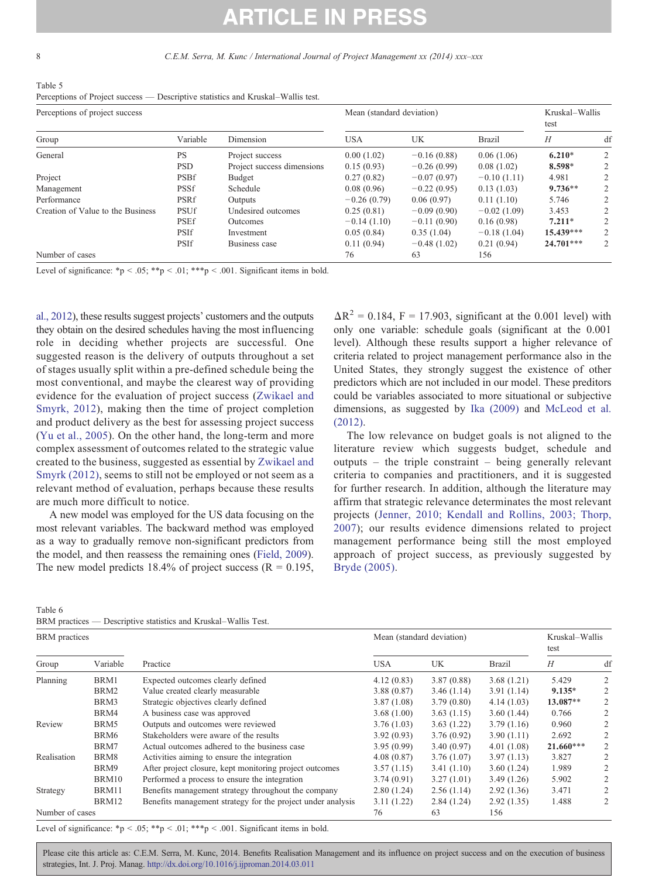<span id="page-8-0"></span>

| Table 5                                                                          |  |  |
|----------------------------------------------------------------------------------|--|--|
| Perceptions of Project success — Descriptive statistics and Kruskal–Wallis test. |  |  |

| Perceptions of project success    |             | Mean (standard deviation)  | Kruskal-Wallis<br>test |               |               |             |    |
|-----------------------------------|-------------|----------------------------|------------------------|---------------|---------------|-------------|----|
| Group                             | Variable    | Dimension                  | <b>USA</b>             | UK            | <b>Brazil</b> | Н           | df |
| General                           | <b>PS</b>   | Project success            | 0.00(1.02)             | $-0.16(0.88)$ | 0.06(1.06)    | $6.210*$    | 2  |
|                                   | <b>PSD</b>  | Project success dimensions | 0.15(0.93)             | $-0.26(0.99)$ | 0.08(1.02)    | 8.598*      |    |
| Project                           | <b>PSBf</b> | Budget                     | 0.27(0.82)             | $-0.07(0.97)$ | $-0.10(1.11)$ | 4.981       |    |
| Management                        | <b>PSSf</b> | Schedule                   | 0.08(0.96)             | $-0.22(0.95)$ | 0.13(1.03)    | $9.736**$   | 2  |
| Performance                       | PSRf        | <b>Outputs</b>             | $-0.26(0.79)$          | 0.06(0.97)    | 0.11(1.10)    | 5.746       |    |
| Creation of Value to the Business | <b>PSUf</b> | Undesired outcomes         | 0.25(0.81)             | $-0.09(0.90)$ | $-0.02(1.09)$ | 3.453       |    |
|                                   | <b>PSEf</b> | <b>Outcomes</b>            | $-0.14(1.10)$          | $-0.11(0.90)$ | 0.16(0.98)    | $7.211*$    |    |
|                                   | <b>PSIf</b> | Investment                 | 0.05(0.84)             | 0.35(1.04)    | $-0.18(1.04)$ | 15.439***   | 2  |
|                                   | <b>PSIf</b> | Business case              | 0.11(0.94)             | $-0.48(1.02)$ | 0.21(0.94)    | $24.701***$ | 2  |
| Number of cases                   |             |                            | 76                     | 63            | 156           |             |    |

Level of significance: \*p < .05; \*\*p < .01; \*\*\*p < .001. Significant items in bold.

[al., 2012](#page-14-0)), these results suggest projects' customers and the outputs they obtain on the desired schedules having the most influencing role in deciding whether projects are successful. One suggested reason is the delivery of outputs throughout a set of stages usually split within a pre-defined schedule being the most conventional, and maybe the clearest way of providing evidence for the evaluation of project success ([Zwikael and](#page-14-0) [Smyrk, 2012](#page-14-0)), making then the time of project completion and product delivery as the best for assessing project success ([Yu et al., 2005\)](#page-14-0). On the other hand, the long-term and more complex assessment of outcomes related to the strategic value created to the business, suggested as essential by [Zwikael and](#page-14-0) [Smyrk \(2012\),](#page-14-0) seems to still not be employed or not seem as a relevant method of evaluation, perhaps because these results are much more difficult to notice.

A new model was employed for the US data focusing on the most relevant variables. The backward method was employed as a way to gradually remove non-significant predictors from the model, and then reassess the remaining ones [\(Field, 2009](#page-13-0)). The new model predicts  $18.4\%$  of project success (R = 0.195,  $\Delta R^2$  = 0.184, F = 17.903, significant at the 0.001 level) with only one variable: schedule goals (significant at the 0.001 level). Although these results support a higher relevance of criteria related to project management performance also in the United States, they strongly suggest the existence of other predictors which are not included in our model. These preditors could be variables associated to more situational or subjective dimensions, as suggested by [Ika \(2009\)](#page-13-0) and [McLeod et al.](#page-14-0) [\(2012\)](#page-14-0).

The low relevance on budget goals is not aligned to the literature review which suggests budget, schedule and outputs – the triple constraint – being generally relevant criteria to companies and practitioners, and it is suggested for further research. In addition, although the literature may affirm that strategic relevance determinates the most relevant projects ([Jenner, 2010; Kendall and Rollins, 2003; Thorp,](#page-13-0) [2007](#page-13-0)); our results evidence dimensions related to project management performance being still the most employed approach of project success, as previously suggested by [Bryde \(2005\).](#page-13-0)

Table 6

| BRM practices - | - Descriptive statistics and Kruskal-Wallis Test. |  |  |  |
|-----------------|---------------------------------------------------|--|--|--|
|-----------------|---------------------------------------------------|--|--|--|

| <b>BRM</b> practices |                  |                                                             | Mean (standard deviation) |            | Kruskal-Wallis<br>test |             |    |
|----------------------|------------------|-------------------------------------------------------------|---------------------------|------------|------------------------|-------------|----|
| Group                | Variable         | Practice                                                    | <b>USA</b>                | UK         | <b>Brazil</b>          | Н           | df |
| Planning             | BRM1             | Expected outcomes clearly defined                           | 4.12(0.83)                | 3.87(0.88) | 3.68(1.21)             | 5.429       | 2  |
|                      | BRM2             | Value created clearly measurable                            | 3.88(0.87)                | 3.46(1.14) | 3.91(1.14)             | $9.135*$    | 2  |
|                      | BRM3             | Strategic objectives clearly defined                        | 3.87(1.08)                | 3.79(0.80) | 4.14(1.03)             | 13.087**    | 2  |
|                      | BRM4             | A business case was approved                                | 3.68(1.00)                | 3.63(1.15) | 3.60(1.44)             | 0.766       | 2  |
| Review               | BRM5             | Outputs and outcomes were reviewed                          | 3.76(1.03)                | 3.63(1.22) | 3.79(1.16)             | 0.960       | 2  |
|                      | BRM <sub>6</sub> | Stakeholders were aware of the results                      | 3.92(0.93)                | 3.76(0.92) | 3.90(1.11)             | 2.692       | 2  |
|                      | BRM7             | Actual outcomes adhered to the business case                | 3.95(0.99)                | 3.40(0.97) | 4.01(1.08)             | $21.660***$ | 2  |
| Realisation          | BRM8             | Activities aiming to ensure the integration                 | 4.08(0.87)                | 3.76(1.07) | 3.97(1.13)             | 3.827       | 2  |
|                      | BRM9             | After project closure, kept monitoring project outcomes     | 3.57(1.15)                | 3.41(1.10) | 3.60(1.24)             | 1.989       | 2  |
|                      | BRM10            | Performed a process to ensure the integration               | 3.74(0.91)                | 3.27(1.01) | 3.49(1.26)             | 5.902       | 2  |
| Strategy             | BRM11            | Benefits management strategy throughout the company         | 2.80(1.24)                | 2.56(1.14) | 2.92(1.36)             | 3.471       |    |
|                      | BRM12            | Benefits management strategy for the project under analysis | 3.11(1.22)                | 2.84(1.24) | 2.92(1.35)             | 1.488       | 2  |
| Number of cases      |                  |                                                             | 76                        | 63         | 156                    |             |    |

Level of significance: \*p < .05; \*\*p < .01; \*\*\*p < .001. Significant items in bold.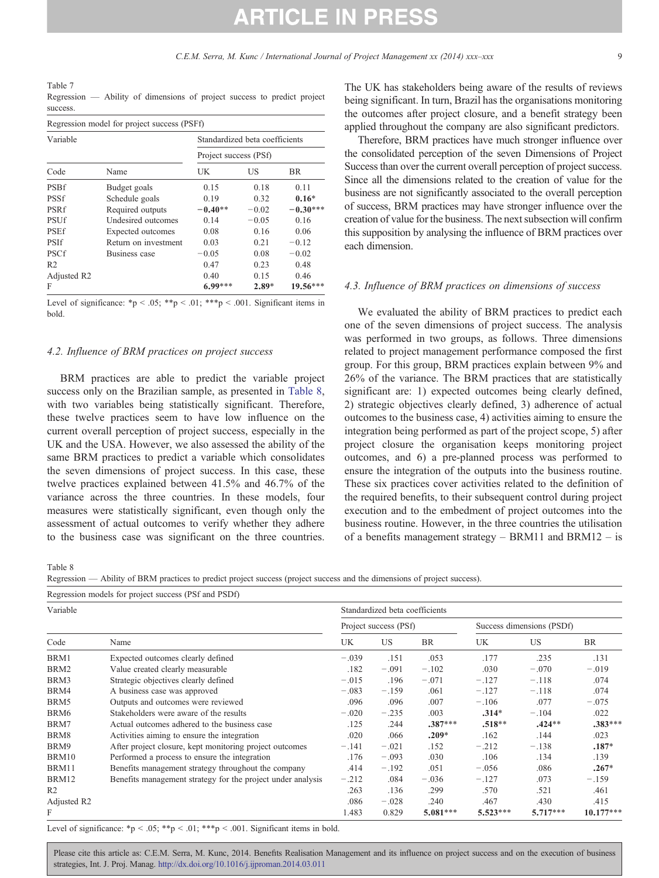<span id="page-9-0"></span>Table 7 Regression — Ability of dimensions of project success to predict project success.

|                | Regression model for project success (PSFf) |                                                         |                                                                                             |            |  |  |  |  |
|----------------|---------------------------------------------|---------------------------------------------------------|---------------------------------------------------------------------------------------------|------------|--|--|--|--|
| Variable       |                                             | Standardized beta coefficients<br>Project success (PSf) |                                                                                             |            |  |  |  |  |
|                |                                             |                                                         |                                                                                             |            |  |  |  |  |
| Code           | Name                                        | UK                                                      | US<br>0.18<br>0.32<br>$-0.02$<br>$-0.05$<br>0.16<br>0.21<br>0.08<br>0.23<br>0.15<br>$2.89*$ | BR.        |  |  |  |  |
| <b>PSBf</b>    | Budget goals                                | 0.15                                                    |                                                                                             | 0.11       |  |  |  |  |
| <b>PSSf</b>    | Schedule goals                              | 0.19                                                    |                                                                                             | $0.16*$    |  |  |  |  |
| PSRf           | Required outputs                            | $-0.40**$                                               |                                                                                             | $-0.30***$ |  |  |  |  |
| <b>PSUf</b>    | Undesired outcomes                          | 0.14                                                    |                                                                                             | 0.16       |  |  |  |  |
| <b>PSEf</b>    | Expected outcomes                           | 0.08                                                    |                                                                                             | 0.06       |  |  |  |  |
| <b>PSIf</b>    | Return on investment                        | 0.03                                                    |                                                                                             | $-0.12$    |  |  |  |  |
| <b>PSCf</b>    | Business case                               | $-0.05$                                                 |                                                                                             | $-0.02$    |  |  |  |  |
| R <sub>2</sub> |                                             | 0.47                                                    |                                                                                             | 0.48       |  |  |  |  |
| Adjusted R2    |                                             | 0.40                                                    |                                                                                             | 0.46       |  |  |  |  |
| F              |                                             | $6.99***$                                               |                                                                                             | $19.56***$ |  |  |  |  |

Level of significance: \*p < .05; \*\*p < .01; \*\*\*p < .001. Significant items in bold.

#### 4.2. Influence of BRM practices on project success

BRM practices are able to predict the variable project success only on the Brazilian sample, as presented in Table 8, with two variables being statistically significant. Therefore, these twelve practices seem to have low influence on the current overall perception of project success, especially in the UK and the USA. However, we also assessed the ability of the same BRM practices to predict a variable which consolidates the seven dimensions of project success. In this case, these twelve practices explained between 41.5% and 46.7% of the variance across the three countries. In these models, four measures were statistically significant, even though only the assessment of actual outcomes to verify whether they adhere to the business case was significant on the three countries. The UK has stakeholders being aware of the results of reviews being significant. In turn, Brazil has the organisations monitoring the outcomes after project closure, and a benefit strategy been applied throughout the company are also significant predictors.

Therefore, BRM practices have much stronger influence over the consolidated perception of the seven Dimensions of Project Success than over the current overall perception of project success. Since all the dimensions related to the creation of value for the business are not significantly associated to the overall perception of success, BRM practices may have stronger influence over the creation of value for the business. The next subsection will confirm this supposition by analysing the influence of BRM practices over each dimension.

#### 4.3. Influence of BRM practices on dimensions of success

We evaluated the ability of BRM practices to predict each one of the seven dimensions of project success. The analysis was performed in two groups, as follows. Three dimensions related to project management performance composed the first group. For this group, BRM practices explain between 9% and 26% of the variance. The BRM practices that are statistically significant are: 1) expected outcomes being clearly defined, 2) strategic objectives clearly defined, 3) adherence of actual outcomes to the business case, 4) activities aiming to ensure the integration being performed as part of the project scope, 5) after project closure the organisation keeps monitoring project outcomes, and 6) a pre-planned process was performed to ensure the integration of the outputs into the business routine. These six practices cover activities related to the definition of the required benefits, to their subsequent control during project execution and to the embedment of project outcomes into the business routine. However, in the three countries the utilisation of a benefits management strategy – BRM11 and BRM12 – is

Table 8

Regression — Ability of BRM practices to predict project success (project success and the dimensions of project success).

|                         | Regression models for project success (PSf and PSDf)        |                                |                       |            |                           |            |             |  |  |  |  |
|-------------------------|-------------------------------------------------------------|--------------------------------|-----------------------|------------|---------------------------|------------|-------------|--|--|--|--|
| Variable                |                                                             | Standardized beta coefficients |                       |            |                           |            |             |  |  |  |  |
|                         |                                                             |                                | Project success (PSf) |            | Success dimensions (PSDf) |            |             |  |  |  |  |
| Code                    | Name                                                        | <b>UK</b>                      | US.                   | <b>BR</b>  | UK                        | US         | BR          |  |  |  |  |
| BRM1                    | Expected outcomes clearly defined                           | $-.039$                        | .151                  | .053       | .177                      | .235       | .131        |  |  |  |  |
| BRM2                    | Value created clearly measurable                            | .182                           | $-.091$               | $-.102$    | .030                      | $-.070$    | $-.019$     |  |  |  |  |
| BRM3                    | Strategic objectives clearly defined                        | $-.015$                        | .196                  | $-.071$    | $-.127$                   | $-.118$    | .074        |  |  |  |  |
| BRM4                    | A business case was approved                                | $-.083$                        | $-.159$               | .061       | $-.127$                   | $-.118$    | .074        |  |  |  |  |
| BRM5                    | Outputs and outcomes were reviewed                          | .096                           | .096                  | .007       | $-.106$                   | .077       | $-.075$     |  |  |  |  |
| BRM6                    | Stakeholders were aware of the results                      | $-.020$                        | $-.235$               | .003       | $.314*$                   | $-.104$    | .022        |  |  |  |  |
| BRM7                    | Actual outcomes adhered to the business case                | .125                           | .244                  | $.387***$  | $.518**$                  | $.424**$   | $.383***$   |  |  |  |  |
| BRM8                    | Activities aiming to ensure the integration                 | .020                           | .066                  | $.209*$    | .162                      | .144       | .023        |  |  |  |  |
| BRM9                    | After project closure, kept monitoring project outcomes     | $-.141$                        | $-.021$               | .152       | $-.212$                   | $-.138$    | $.187*$     |  |  |  |  |
| BRM10                   | Performed a process to ensure the integration               | .176                           | $-.093$               | .030       | .106                      | .134       | .139        |  |  |  |  |
| BRM11                   | Benefits management strategy throughout the company         | .414                           | $-.192$               | .051       | $-.056$                   | .086       | $.267*$     |  |  |  |  |
| BRM12                   | Benefits management strategy for the project under analysis | $-.212$                        | .084                  | $-.036$    | $-.127$                   | .073       | $-.159$     |  |  |  |  |
| R <sub>2</sub>          |                                                             | .263                           | .136                  | .299       | .570                      | .521       | .461        |  |  |  |  |
| Adjusted R <sub>2</sub> |                                                             | .086                           | $-.028$               | .240       | .467                      | .430       | .415        |  |  |  |  |
| F                       |                                                             | 1.483                          | 0.829                 | $5.081***$ | $5.523***$                | $5.717***$ | $10.177***$ |  |  |  |  |

Level of significance: \*p < .05; \*\*p < .01; \*\*\*p < .001. Significant items in bold.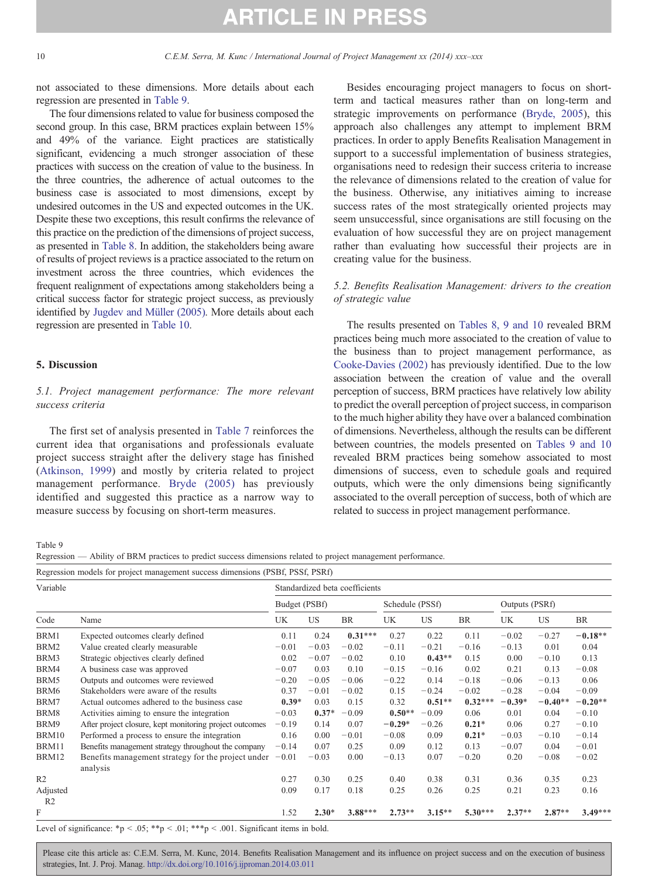not associated to these dimensions. More details about each regression are presented in Table 9.

The four dimensions related to value for business composed the second group. In this case, BRM practices explain between 15% and 49% of the variance. Eight practices are statistically significant, evidencing a much stronger association of these practices with success on the creation of value to the business. In the three countries, the adherence of actual outcomes to the business case is associated to most dimensions, except by undesired outcomes in the US and expected outcomes in the UK. Despite these two exceptions, this result confirms the relevance of this practice on the prediction of the dimensions of project success, as presented in [Table 8](#page-9-0). In addition, the stakeholders being aware of results of project reviews is a practice associated to the return on investment across the three countries, which evidences the frequent realignment of expectations among stakeholders being a critical success factor for strategic project success, as previously identified by [Jugdev and Müller \(2005\)](#page-14-0). More details about each regression are presented in [Table 10](#page-11-0).

#### 5. Discussion

#### 5.1. Project management performance: The more relevant success criteria

The first set of analysis presented in [Table 7](#page-9-0) reinforces the current idea that organisations and professionals evaluate project success straight after the delivery stage has finished ([Atkinson, 1999](#page-13-0)) and mostly by criteria related to project management performance. [Bryde \(2005\)](#page-13-0) has previously identified and suggested this practice as a narrow way to measure success by focusing on short-term measures.

Besides encouraging project managers to focus on shortterm and tactical measures rather than on long-term and strategic improvements on performance ([Bryde, 2005\)](#page-13-0), this approach also challenges any attempt to implement BRM practices. In order to apply Benefits Realisation Management in support to a successful implementation of business strategies, organisations need to redesign their success criteria to increase the relevance of dimensions related to the creation of value for the business. Otherwise, any initiatives aiming to increase success rates of the most strategically oriented projects may seem unsuccessful, since organisations are still focusing on the evaluation of how successful they are on project management rather than evaluating how successful their projects are in creating value for the business.

#### 5.2. Benefits Realisation Management: drivers to the creation of strategic value

The results presented on [Tables 8, 9 and 10](#page-9-0) revealed BRM practices being much more associated to the creation of value to the business than to project management performance, as [Cooke-Davies \(2002\)](#page-13-0) has previously identified. Due to the low association between the creation of value and the overall perception of success, BRM practices have relatively low ability to predict the overall perception of project success, in comparison to the much higher ability they have over a balanced combination of dimensions. Nevertheless, although the results can be different between countries, the models presented on Tables 9 and 10 revealed BRM practices being somehow associated to most dimensions of success, even to schedule goals and required outputs, which were the only dimensions being significantly associated to the overall perception of success, both of which are related to success in project management performance.

Table 9

Regression — Ability of BRM practices to predict success dimensions related to project management performance.

|                            | Regression models for project management success dimensions (PSBf, PSSf, PSRf) |                                |           |           |                 |           |           |                |           |           |  |
|----------------------------|--------------------------------------------------------------------------------|--------------------------------|-----------|-----------|-----------------|-----------|-----------|----------------|-----------|-----------|--|
| Variable                   |                                                                                | Standardized beta coefficients |           |           |                 |           |           |                |           |           |  |
|                            |                                                                                | Budget (PSBf)                  |           |           | Schedule (PSSf) |           |           | Outputs (PSRf) |           |           |  |
| Code                       | Name                                                                           | UK                             | <b>US</b> | BR        | UK              | US        | <b>BR</b> | UK             | US        | BR        |  |
| BRM1                       | Expected outcomes clearly defined                                              | 0.11                           | 0.24      | $0.31***$ | 0.27            | 0.22      | 0.11      | $-0.02$        | $-0.27$   | $-0.18**$ |  |
| BRM2                       | Value created clearly measurable                                               | $-0.01$                        | $-0.03$   | $-0.02$   | $-0.11$         | $-0.21$   | $-0.16$   | $-0.13$        | 0.01      | 0.04      |  |
| BRM3                       | Strategic objectives clearly defined                                           | 0.02                           | $-0.07$   | $-0.02$   | 0.10            | $0.43**$  | 0.15      | 0.00           | $-0.10$   | 0.13      |  |
| BRM4                       | A business case was approved                                                   | $-0.07$                        | 0.03      | 0.10      | $-0.15$         | $-0.16$   | 0.02      | 0.21           | 0.13      | $-0.08$   |  |
| BRM5                       | Outputs and outcomes were reviewed                                             | $-0.20$                        | $-0.05$   | $-0.06$   | $-0.22$         | 0.14      | $-0.18$   | $-0.06$        | $-0.13$   | 0.06      |  |
| BRM6                       | Stakeholders were aware of the results                                         | 0.37                           | $-0.01$   | $-0.02$   | 0.15            | $-0.24$   | $-0.02$   | $-0.28$        | $-0.04$   | $-0.09$   |  |
| BRM7                       | Actual outcomes adhered to the business case                                   | $0.39*$                        | 0.03      | 0.15      | 0.32            | $0.51**$  | $0.32***$ | $-0.39*$       | $-0.40**$ | $-0.20**$ |  |
| BRM8                       | Activities aiming to ensure the integration                                    | $-0.03$                        | $0.37*$   | $-0.09$   | $0.50**$        | $-0.09$   | 0.06      | 0.01           | 0.04      | $-0.10$   |  |
| BRM9                       | After project closure, kept monitoring project outcomes                        | $-0.19$                        | 0.14      | 0.07      | $-0.29*$        | $-0.26$   | $0.21*$   | 0.06           | 0.27      | $-0.10$   |  |
| <b>BRM10</b>               | Performed a process to ensure the integration                                  | 0.16                           | 0.00      | $-0.01$   | $-0.08$         | 0.09      | $0.21*$   | $-0.03$        | $-0.10$   | $-0.14$   |  |
| BRM11                      | Benefits management strategy throughout the company                            | $-0.14$                        | 0.07      | 0.25      | 0.09            | 0.12      | 0.13      | $-0.07$        | 0.04      | $-0.01$   |  |
| BRM12                      | Benefits management strategy for the project under<br>analysis                 | $-0.01$                        | $-0.03$   | 0.00      | $-0.13$         | 0.07      | $-0.20$   | 0.20           | $-0.08$   | $-0.02$   |  |
| R <sub>2</sub>             |                                                                                | 0.27                           | 0.30      | 0.25      | 0.40            | 0.38      | 0.31      | 0.36           | 0.35      | 0.23      |  |
| Adjusted<br>R <sub>2</sub> |                                                                                | 0.09                           | 0.17      | 0.18      | 0.25            | 0.26      | 0.25      | 0.21           | 0.23      | 0.16      |  |
| F                          |                                                                                | 1.52                           | $2.30*$   | $3.88***$ | $2.73**$        | $3.15***$ | $5.30***$ | $2.37**$       | $2.87**$  | $3.49***$ |  |

Level of significance: \*p < .05; \*\*p < .01; \*\*\*p < .001. Significant items in bold.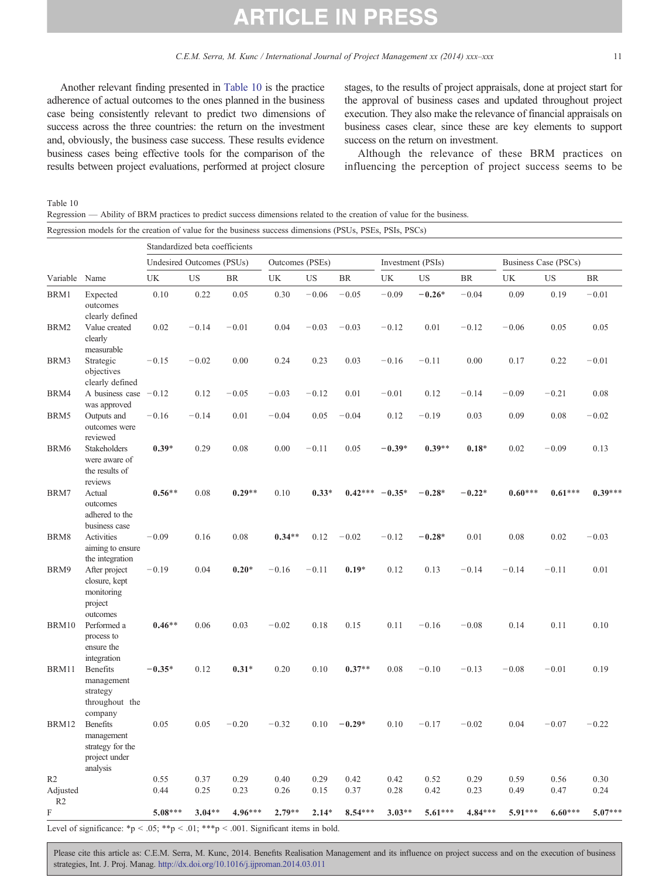<span id="page-11-0"></span>Another relevant finding presented in Table 10 is the practice adherence of actual outcomes to the ones planned in the business case being consistently relevant to predict two dimensions of success across the three countries: the return on the investment and, obviously, the business case success. These results evidence business cases being effective tools for the comparison of the results between project evaluations, performed at project closure

stages, to the results of project appraisals, done at project start for the approval of business cases and updated throughout project execution. They also make the relevance of financial appraisals on business cases clear, since these are key elements to support success on the return on investment.

Although the relevance of these BRM practices on influencing the perception of project success seems to be

Table 10

Regression — Ability of BRM practices to predict success dimensions related to the creation of value for the business.

| Regression models for the creation of value for the business success dimensions (PSUs, PSEs, PSIs, PSCs) |  |
|----------------------------------------------------------------------------------------------------------|--|
|----------------------------------------------------------------------------------------------------------|--|

|                |                                                                                    | Standardized beta coefficients |              |              |                 |              |              |                   |              |              |                             |              |              |  |
|----------------|------------------------------------------------------------------------------------|--------------------------------|--------------|--------------|-----------------|--------------|--------------|-------------------|--------------|--------------|-----------------------------|--------------|--------------|--|
|                |                                                                                    | Undesired Outcomes (PSUs)      |              |              | Outcomes (PSEs) |              |              | Investment (PSIs) |              |              | <b>Business Case (PSCs)</b> |              |              |  |
| Variable       | Name                                                                               | UK                             | US           | <b>BR</b>    | UK              | <b>US</b>    | BR           | UK                | US           | BR           | UK                          | US           | BR           |  |
| BRM1           | Expected<br>outcomes<br>clearly defined                                            | 0.10                           | 0.22         | 0.05         | 0.30            | $-0.06$      | $-0.05$      | $-0.09$           | $-0.26*$     | $-0.04$      | 0.09                        | 0.19         | $-0.01$      |  |
| BRM2           | Value created<br>clearly<br>measurable                                             | 0.02                           | $-0.14$      | $-0.01$      | 0.04            | $-0.03$      | $-0.03$      | $-0.12$           | 0.01         | $-0.12$      | $-0.06$                     | 0.05         | 0.05         |  |
| BRM3           | Strategic<br>objectives<br>clearly defined                                         | $-0.15$                        | $-0.02$      | 0.00         | 0.24            | 0.23         | 0.03         | $-0.16$           | $-0.11$      | 0.00         | 0.17                        | 0.22         | $-0.01$      |  |
| BRM4           | A business case $-0.12$<br>was approved                                            |                                | 0.12         | $-0.05$      | $-0.03$         | $-0.12$      | 0.01         | $-0.01$           | 0.12         | $-0.14$      | $-0.09$                     | $-0.21$      | 0.08         |  |
| BRM5           | Outputs and<br>outcomes were<br>reviewed                                           | $-0.16$                        | $-0.14$      | 0.01         | $-0.04$         | 0.05         | $-0.04$      | 0.12              | $-0.19$      | 0.03         | 0.09                        | 0.08         | $-0.02$      |  |
| BRM6           | Stakeholders<br>were aware of<br>the results of<br>reviews                         | $0.39*$                        | 0.29         | 0.08         | 0.00            | $-0.11$      | 0.05         | $-0.39*$          | $0.39**$     | $0.18*$      | 0.02                        | $-0.09$      | 0.13         |  |
| BRM7           | Actual<br>outcomes<br>adhered to the<br>business case                              | $0.56**$                       | 0.08         | $0.29**$     | 0.10            | $0.33*$      | $0.42***$    | $-0.35*$          | $-0.28*$     | $-0.22*$     | $0.60***$                   | $0.61***$    | $0.39***$    |  |
| BRM8           | Activities<br>aiming to ensure<br>the integration                                  | $-0.09$                        | 0.16         | 0.08         | $0.34**$        | 0.12         | $-0.02$      | $-0.12$           | $-0.28*$     | 0.01         | 0.08                        | 0.02         | $-0.03$      |  |
| BRM9           | After project<br>closure, kept<br>monitoring<br>project<br>outcomes                | $-0.19$                        | 0.04         | $0.20*$      | $-0.16$         | $-0.11$      | $0.19*$      | 0.12              | 0.13         | $-0.14$      | $-0.14$                     | $-0.11$      | 0.01         |  |
| BRM10          | Performed a<br>process to<br>ensure the<br>integration                             | $0.46**$                       | 0.06         | 0.03         | $-0.02$         | 0.18         | 0.15         | 0.11              | $-0.16$      | $-0.08$      | 0.14                        | 0.11         | 0.10         |  |
| BRM11          | <b>Benefits</b><br>management<br>strategy<br>throughout the                        | $-0.35*$                       | 0.12         | $0.31*$      | 0.20            | 0.10         | $0.37**$     | 0.08              | $-0.10$      | $-0.13$      | $-0.08$                     | $-0.01$      | 0.19         |  |
| <b>BRM12</b>   | company<br>Benefits<br>management<br>strategy for the<br>project under<br>analysis | 0.05                           | 0.05         | $-0.20$      | $-0.32$         | 0.10         | $-0.29*$     | 0.10              | $-0.17$      | $-0.02$      | 0.04                        | $-0.07$      | $-0.22$      |  |
| R2<br>Adjusted |                                                                                    | 0.55<br>0.44                   | 0.37<br>0.25 | 0.29<br>0.23 | 0.40<br>0.26    | 0.29<br>0.15 | 0.42<br>0.37 | 0.42<br>0.28      | 0.52<br>0.42 | 0.29<br>0.23 | 0.59<br>0.49                | 0.56<br>0.47 | 0.30<br>0.24 |  |
| R2<br>F        |                                                                                    | $5.08***$                      | $3.04**$     | 4.96***      | $2.79**$        | $2.14*$      | $8.54***$    | $3.03**$          | $5.61***$    | 4.84***      | 5.91***                     | $6.60***$    | $5.07***$    |  |

Level of significance: \*p < .05; \*\*p < .01; \*\*\*p < .001. Significant items in bold.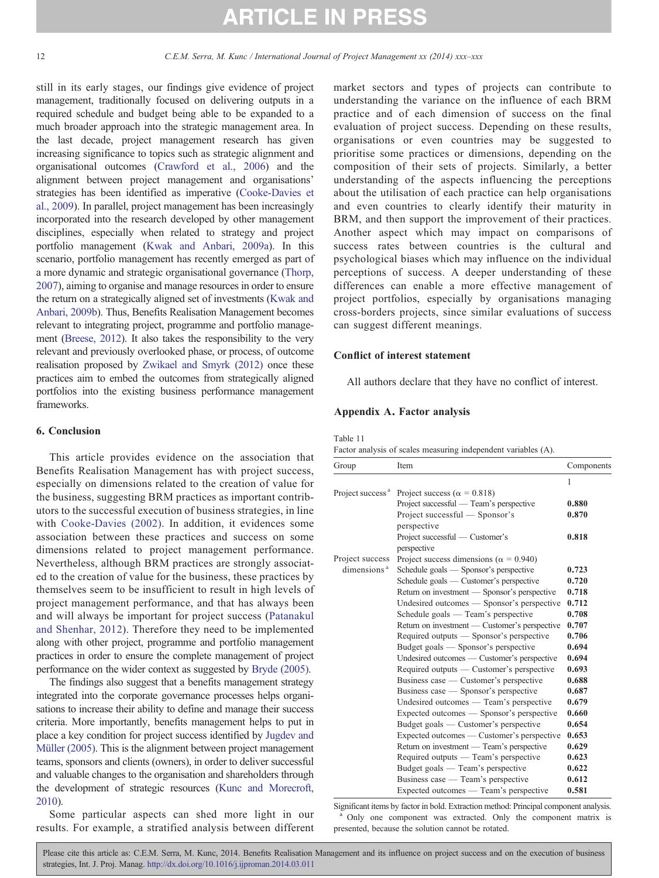<span id="page-12-0"></span>still in its early stages, our findings give evidence of project management, traditionally focused on delivering outputs in a required schedule and budget being able to be expanded to a much broader approach into the strategic management area. In the last decade, project management research has given increasing significance to topics such as strategic alignment and organisational outcomes [\(Crawford et al., 2006\)](#page-13-0) and the alignment between project management and organisations' strategies has been identified as imperative ([Cooke-Davies et](#page-13-0) [al., 2009\)](#page-13-0). In parallel, project management has been increasingly incorporated into the research developed by other management disciplines, especially when related to strategy and project portfolio management [\(Kwak and Anbari, 2009a\)](#page-14-0). In this scenario, portfolio management has recently emerged as part of a more dynamic and strategic organisational governance [\(Thorp,](#page-14-0) [2007](#page-14-0)), aiming to organise and manage resources in order to ensure the return on a strategically aligned set of investments [\(Kwak and](#page-14-0) [Anbari, 2009b\)](#page-14-0). Thus, Benefits Realisation Management becomes relevant to integrating project, programme and portfolio management ([Breese, 2012\)](#page-13-0). It also takes the responsibility to the very relevant and previously overlooked phase, or process, of outcome realisation proposed by [Zwikael and Smyrk \(2012\)](#page-14-0) once these practices aim to embed the outcomes from strategically aligned portfolios into the existing business performance management frameworks.

#### 6. Conclusion

This article provides evidence on the association that Benefits Realisation Management has with project success, especially on dimensions related to the creation of value for the business, suggesting BRM practices as important contributors to the successful execution of business strategies, in line with [Cooke-Davies \(2002\)](#page-13-0). In addition, it evidences some association between these practices and success on some dimensions related to project management performance. Nevertheless, although BRM practices are strongly associated to the creation of value for the business, these practices by themselves seem to be insufficient to result in high levels of project management performance, and that has always been and will always be important for project success [\(Patanakul](#page-14-0) [and Shenhar, 2012\)](#page-14-0). Therefore they need to be implemented along with other project, programme and portfolio management practices in order to ensure the complete management of project performance on the wider context as suggested by [Bryde \(2005\).](#page-13-0)

The findings also suggest that a benefits management strategy integrated into the corporate governance processes helps organisations to increase their ability to define and manage their success criteria. More importantly, benefits management helps to put in place a key condition for project success identified by [Jugdev and](#page-14-0) [Müller \(2005\)](#page-14-0). This is the alignment between project management teams, sponsors and clients (owners), in order to deliver successful and valuable changes to the organisation and shareholders through the development of strategic resources [\(Kunc and Morecroft,](#page-14-0) [2010\)](#page-14-0).

Some particular aspects can shed more light in our results. For example, a stratified analysis between different market sectors and types of projects can contribute to understanding the variance on the influence of each BRM practice and of each dimension of success on the final evaluation of project success. Depending on these results, organisations or even countries may be suggested to prioritise some practices or dimensions, depending on the composition of their sets of projects. Similarly, a better understanding of the aspects influencing the perceptions about the utilisation of each practice can help organisations and even countries to clearly identify their maturity in BRM, and then support the improvement of their practices. Another aspect which may impact on comparisons of success rates between countries is the cultural and psychological biases which may influence on the individual perceptions of success. A deeper understanding of these differences can enable a more effective management of project portfolios, especially by organisations managing cross-borders projects, since similar evaluations of success can suggest different meanings.

#### Conflict of interest statement

All authors declare that they have no conflict of interest.

#### Appendix A. Factor analysis

Table 11

Factor analysis of scales measuring independent variables (A).

| Group                        | Item                                            | Components |
|------------------------------|-------------------------------------------------|------------|
|                              |                                                 | 1          |
| Project success <sup>a</sup> | Project success ( $\alpha = 0.818$ )            |            |
|                              | Project successful — Team's perspective         | 0.880      |
|                              | Project successful — Sponsor's                  | 0.870      |
|                              | perspective                                     |            |
|                              | Project successful — Customer's                 | 0.818      |
|                              | perspective                                     |            |
| Project success              | Project success dimensions ( $\alpha = 0.940$ ) |            |
| dimensions <sup>a</sup>      | Schedule goals — Sponsor's perspective          | 0.723      |
|                              | Schedule goals — Customer's perspective         | 0.720      |
|                              | Return on investment - Sponsor's perspective    | 0.718      |
|                              | Undesired outcomes — Sponsor's perspective      | 0.712      |
|                              | Schedule goals — Team's perspective             | 0.708      |
|                              | Return on investment — Customer's perspective   | 0.707      |
|                              | Required outputs — Sponsor's perspective        | 0.706      |
|                              | Budget goals — Sponsor's perspective            | 0.694      |
|                              | Undesired outcomes — Customer's perspective     | 0.694      |
|                              | Required outputs — Customer's perspective       | 0.693      |
|                              | Business case — Customer's perspective          | 0.688      |
|                              | Business case — Sponsor's perspective           | 0.687      |
|                              | Undesired outcomes — Team's perspective         | 0.679      |
|                              | Expected outcomes — Sponsor's perspective       | 0.660      |
|                              | Budget goals — Customer's perspective           | 0.654      |
|                              | Expected outcomes — Customer's perspective      | 0.653      |
|                              | Return on investment — Team's perspective       | 0.629      |
|                              | Required outputs — Team's perspective           | 0.623      |
|                              | Budget goals — Team's perspective               | 0.622      |
|                              | Business case — Team's perspective              | 0.612      |
|                              | Expected outcomes — Team's perspective          | 0.581      |

Significant items by factor in bold. Extraction method: Principal component analysis. Only one component was extracted. Only the component matrix is presented, because the solution cannot be rotated.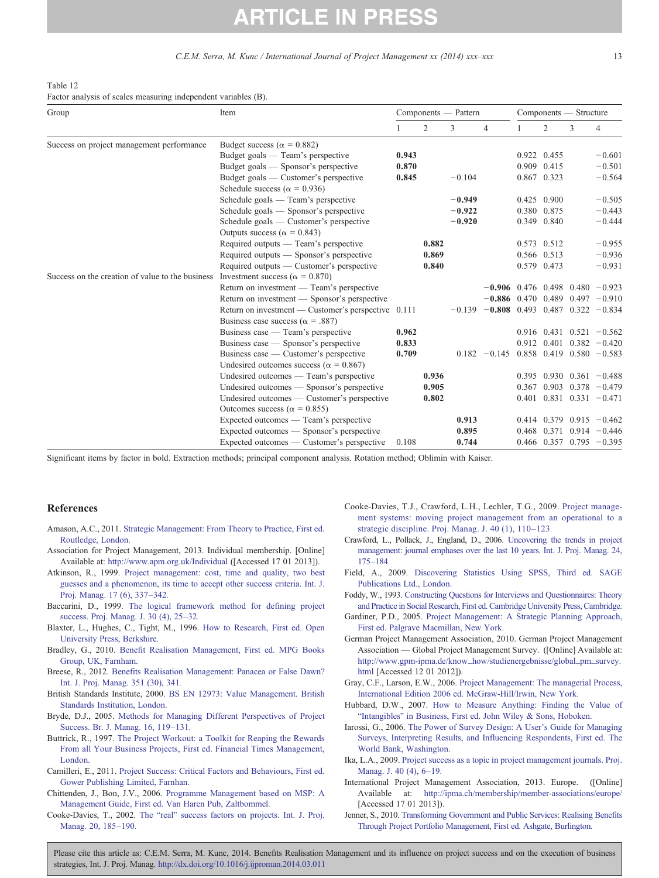<span id="page-13-0"></span>Table 12 Factor analysis of scales measuring independent variables (B).

| Group                                            | Item                                                | Components — Pattern |       |          |                                              | Components — Structure |             |   |                                  |
|--------------------------------------------------|-----------------------------------------------------|----------------------|-------|----------|----------------------------------------------|------------------------|-------------|---|----------------------------------|
|                                                  |                                                     |                      | 2     | 3        | $\overline{4}$                               |                        | 2           | 3 | 4                                |
| Success on project management performance        | Budget success ( $\alpha = 0.882$ )                 |                      |       |          |                                              |                        |             |   |                                  |
|                                                  | Budget goals — Team's perspective                   | 0.943                |       |          |                                              | 0.922                  | 0.455       |   | $-0.601$                         |
|                                                  | Budget goals — Sponsor's perspective                | 0.870                |       |          |                                              |                        | 0.909 0.415 |   | $-0.501$                         |
|                                                  | Budget goals — Customer's perspective               | 0.845                |       | $-0.104$ |                                              |                        | 0.867 0.323 |   | $-0.564$                         |
|                                                  | Schedule success ( $\alpha$ = 0.936)                |                      |       |          |                                              |                        |             |   |                                  |
|                                                  | Schedule goals — Team's perspective                 |                      |       | $-0.949$ |                                              | 0.425                  | 0.900       |   | $-0.505$                         |
|                                                  | Schedule goals — Sponsor's perspective              |                      |       | $-0.922$ |                                              |                        | 0.380 0.875 |   | $-0.443$                         |
|                                                  | Schedule goals — Customer's perspective             |                      |       | $-0.920$ |                                              |                        | 0.349 0.840 |   | $-0.444$                         |
|                                                  | Outputs success ( $\alpha = 0.843$ )                |                      |       |          |                                              |                        |             |   |                                  |
|                                                  | Required outputs — Team's perspective               |                      | 0.882 |          |                                              |                        | 0.573 0.512 |   | $-0.955$                         |
|                                                  | Required outputs — Sponsor's perspective            |                      | 0.869 |          |                                              |                        | 0.566 0.513 |   | $-0.936$                         |
|                                                  | Required outputs — Customer's perspective           |                      | 0.840 |          |                                              |                        | 0.579 0.473 |   | $-0.931$                         |
| Success on the creation of value to the business | Investment success ( $\alpha = 0.870$ )             |                      |       |          |                                              |                        |             |   |                                  |
|                                                  | Return on investment — Team's perspective           |                      |       |          | $-0.906$ 0.476 0.498 0.480 -0.923            |                        |             |   |                                  |
|                                                  | Return on investment — Sponsor's perspective        |                      |       |          | $-0.886$ 0.470 0.489 0.497 $-0.910$          |                        |             |   |                                  |
|                                                  | Return on investment — Customer's perspective 0.111 |                      |       |          | $-0.139$ $-0.808$ 0.493 0.487 0.322 $-0.834$ |                        |             |   |                                  |
|                                                  | Business case success ( $\alpha$ = .887)            |                      |       |          |                                              |                        |             |   |                                  |
|                                                  | Business case — Team's perspective                  | 0.962                |       |          |                                              |                        |             |   | $0.916$ $0.431$ $0.521$ $-0.562$ |
|                                                  | Business case - Sponsor's perspective               | 0.833                |       |          |                                              |                        | 0.912 0.401 |   | $0.382 - 0.420$                  |
|                                                  | Business case — Customer's perspective              | 0.709                |       |          | $0.182 -0.145$ 0.858 0.419 0.580 -0.583      |                        |             |   |                                  |
|                                                  | Undesired outcomes success ( $\alpha$ = 0.867)      |                      |       |          |                                              |                        |             |   |                                  |
|                                                  | Undesired outcomes — Team's perspective             |                      | 0.936 |          |                                              | 0.395                  |             |   | $0.930$ $0.361$ $-0.488$         |
|                                                  | Undesired outcomes — Sponsor's perspective          |                      | 0.905 |          |                                              |                        |             |   | $0.367$ $0.903$ $0.378$ $-0.479$ |
|                                                  | Undesired outcomes — Customer's perspective         |                      | 0.802 |          |                                              |                        |             |   | $0.401$ $0.831$ $0.331$ $-0.471$ |
|                                                  | Outcomes success ( $\alpha = 0.855$ )               |                      |       |          |                                              |                        |             |   |                                  |
|                                                  | Expected outcomes — Team's perspective              |                      |       | 0.913    |                                              |                        |             |   | $0.414$ $0.379$ $0.915$ $-0.462$ |
|                                                  | Expected outcomes — Sponsor's perspective           |                      |       | 0.895    |                                              | 0.468                  | 0.371       |   | $0.914 - 0.446$                  |
|                                                  | Expected outcomes — Customer's perspective          | 0.108                |       | 0.744    |                                              |                        |             |   | $0.466$ $0.357$ $0.795$ $-0.395$ |

Significant items by factor in bold. Extraction methods; principal component analysis. Rotation method; Oblimin with Kaiser.

#### References

- Amason, A.C., 2011. [Strategic Management: From Theory to Practice, First ed.](http://refhub.elsevier.com/S0263-7863(14)00051-9/rf0005) [Routledge, London](http://refhub.elsevier.com/S0263-7863(14)00051-9/rf0005).
- Association for Project Management, 2013. Individual membership. [Online] Available at: <http://www.apm.org.uk/Individual> ([Accessed 17 01 2013]).
- Atkinson, R., 1999. [Project management: cost, time and quality, two best](http://refhub.elsevier.com/S0263-7863(14)00051-9/rf0010) [guesses and a phenomenon, its time to accept other success criteria. Int. J.](http://refhub.elsevier.com/S0263-7863(14)00051-9/rf0010) [Proj. Manag. 17 \(6\), 337](http://refhub.elsevier.com/S0263-7863(14)00051-9/rf0010)–342.
- Baccarini, D., 1999. [The logical framework method for defining project](http://refhub.elsevier.com/S0263-7863(14)00051-9/rf0015) [success. Proj. Manag. J. 30 \(4\), 25](http://refhub.elsevier.com/S0263-7863(14)00051-9/rf0015)–32.
- Blaxter, L., Hughes, C., Tight, M., 1996. [How to Research, First ed. Open](http://refhub.elsevier.com/S0263-7863(14)00051-9/rf0020) [University Press, Berkshire.](http://refhub.elsevier.com/S0263-7863(14)00051-9/rf0020)
- Bradley, G., 2010. [Benefit Realisation Management, First ed. MPG Books](http://refhub.elsevier.com/S0263-7863(14)00051-9/rf0025) [Group, UK, Farnham.](http://refhub.elsevier.com/S0263-7863(14)00051-9/rf0025)
- Breese, R., 2012. [Benefits Realisation Management: Panacea or False Dawn?](http://refhub.elsevier.com/S0263-7863(14)00051-9/rf0305) [Int. J. Proj. Manag. 351 \(30\), 341](http://refhub.elsevier.com/S0263-7863(14)00051-9/rf0305).
- British Standards Institute, 2000. [BS EN 12973: Value Management. British](http://refhub.elsevier.com/S0263-7863(14)00051-9/rf0030) [Standards Institution, London](http://refhub.elsevier.com/S0263-7863(14)00051-9/rf0030).
- Bryde, D.J., 2005. [Methods for Managing Different Perspectives of Project](http://refhub.elsevier.com/S0263-7863(14)00051-9/rf0035) [Success. Br. J. Manag. 16, 119](http://refhub.elsevier.com/S0263-7863(14)00051-9/rf0035)–131.
- Buttrick, R., 1997. [The Project Workout: a Toolkit for Reaping the Rewards](http://refhub.elsevier.com/S0263-7863(14)00051-9/rf0040) [From all Your Business Projects, First ed. Financial Times Management,](http://refhub.elsevier.com/S0263-7863(14)00051-9/rf0040) [London.](http://refhub.elsevier.com/S0263-7863(14)00051-9/rf0040)
- Camilleri, E., 2011. [Project Success: Critical Factors and Behaviours, First ed.](http://refhub.elsevier.com/S0263-7863(14)00051-9/rf0045) [Gower Publishing Limited, Farnhan.](http://refhub.elsevier.com/S0263-7863(14)00051-9/rf0045)
- Chittenden, J., Bon, J.V., 2006. [Programme Management based on MSP: A](http://refhub.elsevier.com/S0263-7863(14)00051-9/rf0050) [Management Guide, First ed. Van Haren Pub, Zaltbommel](http://refhub.elsevier.com/S0263-7863(14)00051-9/rf0050).
- Cooke-Davies, T., 2002. The "real" [success factors on projects. Int. J. Proj.](http://refhub.elsevier.com/S0263-7863(14)00051-9/rf0055) [Manag. 20, 185](http://refhub.elsevier.com/S0263-7863(14)00051-9/rf0055)–190.
- Cooke-Davies, T.J., Crawford, L.H., Lechler, T.G., 2009. [Project manage](http://refhub.elsevier.com/S0263-7863(14)00051-9/rf0060)[ment systems: moving project management from an operational to a](http://refhub.elsevier.com/S0263-7863(14)00051-9/rf0060) [strategic discipline. Proj. Manag. J. 40 \(1\), 110](http://refhub.elsevier.com/S0263-7863(14)00051-9/rf0060)–123.
- Crawford, L., Pollack, J., England, D., 2006. [Uncovering the trends in project](http://refhub.elsevier.com/S0263-7863(14)00051-9/rf0065) [management: journal emphases over the last 10 years. Int. J. Proj. Manag. 24,](http://refhub.elsevier.com/S0263-7863(14)00051-9/rf0065) 175–[184.](http://refhub.elsevier.com/S0263-7863(14)00051-9/rf0065)
- Field, A., 2009. [Discovering Statistics Using SPSS, Third ed. SAGE](http://refhub.elsevier.com/S0263-7863(14)00051-9/rf0070) [Publications Ltd., London.](http://refhub.elsevier.com/S0263-7863(14)00051-9/rf0070)
- Foddy, W., 1993. [Constructing Questions for Interviews and Questionnaires: Theory](http://refhub.elsevier.com/S0263-7863(14)00051-9/rf0075) [and Practice in Social Research, First ed. Cambridge University Press, Cambridge.](http://refhub.elsevier.com/S0263-7863(14)00051-9/rf0075)
- Gardiner, P.D., 2005. [Project Management: A Strategic Planning Approach,](http://refhub.elsevier.com/S0263-7863(14)00051-9/rf0080) [First ed. Palgrave Macmillan, New York.](http://refhub.elsevier.com/S0263-7863(14)00051-9/rf0080)
- German Project Management Association, 2010. German Project Management Association — Global Project Management Survey. ([Online] Available at: [http://www.gpm-ipma.de/know\\_how/studienergebnisse/global\\_pm\\_survey.](http://www.gpm-ipma.de/know_how/studienergebnisse/global_pm_survey.html) [html](http://www.gpm-ipma.de/know_how/studienergebnisse/global_pm_survey.html) [Accessed 12 01 2012]).
- Gray, C.F., Larson, E.W., 2006. [Project Management: The managerial Process,](http://refhub.elsevier.com/S0263-7863(14)00051-9/rf0085) [International Edition 2006 ed. McGraw-Hill/Irwin, New York](http://refhub.elsevier.com/S0263-7863(14)00051-9/rf0085).
- Hubbard, D.W., 2007. [How to Measure Anything: Finding the Value of](http://refhub.elsevier.com/S0263-7863(14)00051-9/rf0090) "Intangibles" [in Business, First ed. John Wiley & Sons, Hoboken](http://refhub.elsevier.com/S0263-7863(14)00051-9/rf0090).
- Iarossi, G., 2006. [The Power of Survey Design: A User's Guide for Managing](http://refhub.elsevier.com/S0263-7863(14)00051-9/rf0095) [Surveys, Interpreting Results, and Influencing Respondents, First ed. The](http://refhub.elsevier.com/S0263-7863(14)00051-9/rf0095) [World Bank, Washington](http://refhub.elsevier.com/S0263-7863(14)00051-9/rf0095).
- Ika, L.A., 2009. [Project success as a topic in project management journals. Proj.](http://refhub.elsevier.com/S0263-7863(14)00051-9/rf0100) [Manag. J. 40 \(4\), 6](http://refhub.elsevier.com/S0263-7863(14)00051-9/rf0100)–19.
- International Project Management Association, 2013. Europe. ([Online] Available at: <http://ipma.ch/membership/member-associations/europe/> [Accessed 17 01 2013]).
- Jenner, S., 2010. [Transforming Government and Public Services: Realising Benefits](http://refhub.elsevier.com/S0263-7863(14)00051-9/rf0105) [Through Project Portfolio Management, First ed. Ashgate, Burlington.](http://refhub.elsevier.com/S0263-7863(14)00051-9/rf0105)